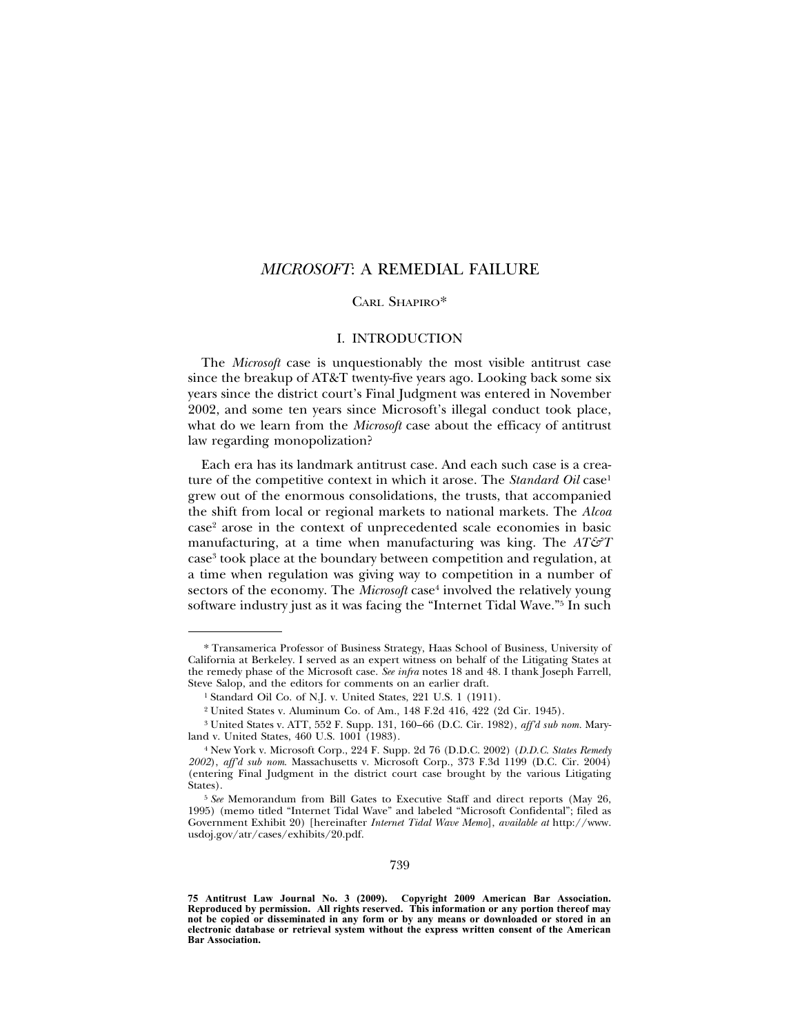# *MICROSOFT*: A REMEDIAL FAILURE

# CARL SHAPIRO\*

# I. INTRODUCTION

The *Microsoft* case is unquestionably the most visible antitrust case since the breakup of AT&T twenty-five years ago. Looking back some six years since the district court's Final Judgment was entered in November 2002, and some ten years since Microsoft's illegal conduct took place, what do we learn from the *Microsoft* case about the efficacy of antitrust law regarding monopolization?

Each era has its landmark antitrust case. And each such case is a creature of the competitive context in which it arose. The *Standard Oil* case<sup>1</sup> grew out of the enormous consolidations, the trusts, that accompanied the shift from local or regional markets to national markets. The *Alcoa* case2 arose in the context of unprecedented scale economies in basic manufacturing, at a time when manufacturing was king. The *AT&T* case3 took place at the boundary between competition and regulation, at a time when regulation was giving way to competition in a number of sectors of the economy. The *Microsoft* case<sup>4</sup> involved the relatively young software industry just as it was facing the "Internet Tidal Wave."5 In such

<sup>\*</sup> Transamerica Professor of Business Strategy, Haas School of Business, University of California at Berkeley. I served as an expert witness on behalf of the Litigating States at the remedy phase of the Microsoft case. *See infra* notes 18 and 48. I thank Joseph Farrell, Steve Salop, and the editors for comments on an earlier draft.

<sup>&</sup>lt;sup>1</sup> Standard Oil Co. of N.J. v. United States, 221 U.S. 1 (1911).

<sup>2</sup> United States v. Aluminum Co. of Am., 148 F.2d 416, 422 (2d Cir. 1945).

<sup>3</sup> United States v. ATT, 552 F. Supp. 131, 160–66 (D.C. Cir. 1982), *aff'd sub nom.* Maryland v. United States, 460 U.S. 1001 (1983).

<sup>4</sup> New York v. Microsoft Corp., 224 F. Supp. 2d 76 (D.D.C. 2002) (*D.D.C. States Remedy 2002*), *aff'd sub nom*. Massachusetts v. Microsoft Corp., 373 F.3d 1199 (D.C. Cir. 2004) (entering Final Judgment in the district court case brought by the various Litigating States).

<sup>5</sup> *See* Memorandum from Bill Gates to Executive Staff and direct reports (May 26, 1995) (memo titled "Internet Tidal Wave" and labeled "Microsoft Confidental"; filed as Government Exhibit 20) [hereinafter *Internet Tidal Wave Memo*], *available at* http://www. usdoj.gov/atr/cases/exhibits/20.pdf.

**<sup>75</sup> Antitrust Law Journal No. 3 (2009). Copyright 2009 American Bar Association. Reproduced by permission. All rights reserved. This information or any portion thereof may not be copied or disseminated in any form or by any means or downloaded or stored in an electronic database or retrieval system without the express written consent of the American Bar Association.**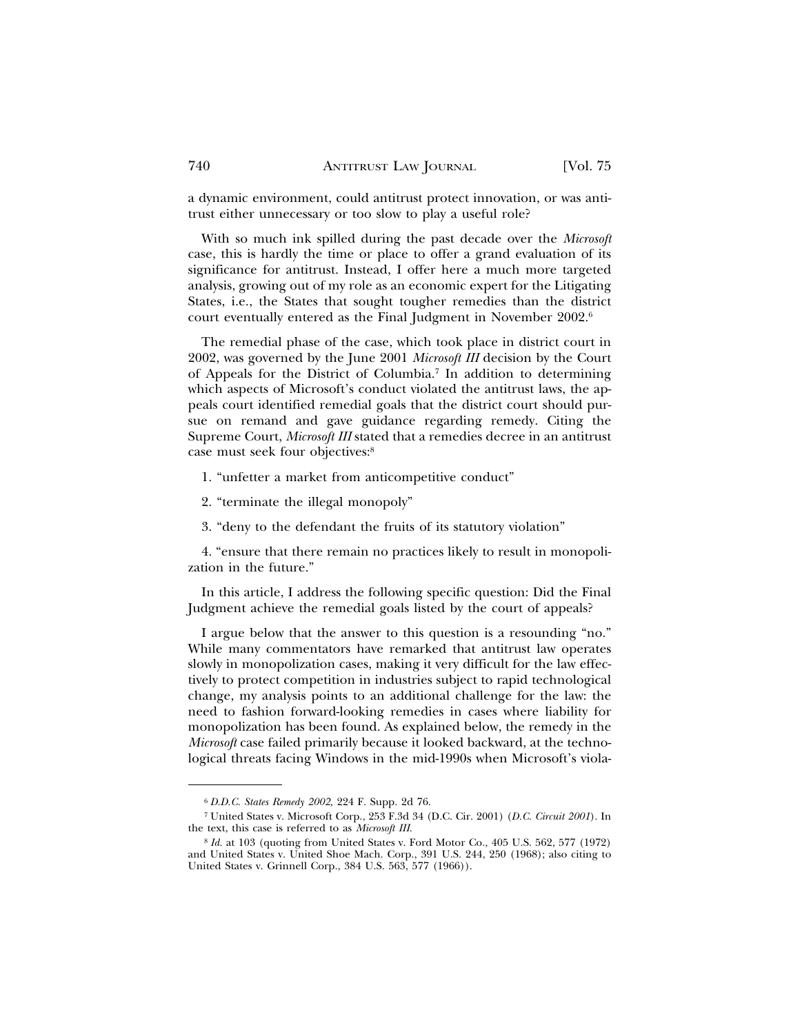a dynamic environment, could antitrust protect innovation, or was antitrust either unnecessary or too slow to play a useful role?

With so much ink spilled during the past decade over the *Microsoft* case, this is hardly the time or place to offer a grand evaluation of its significance for antitrust. Instead, I offer here a much more targeted analysis, growing out of my role as an economic expert for the Litigating States, i.e., the States that sought tougher remedies than the district court eventually entered as the Final Judgment in November 2002.6

The remedial phase of the case, which took place in district court in 2002, was governed by the June 2001 *Microsoft III* decision by the Court of Appeals for the District of Columbia.7 In addition to determining which aspects of Microsoft's conduct violated the antitrust laws, the appeals court identified remedial goals that the district court should pursue on remand and gave guidance regarding remedy. Citing the Supreme Court, *Microsoft III* stated that a remedies decree in an antitrust case must seek four objectives:8

1. "unfetter a market from anticompetitive conduct"

- 2. "terminate the illegal monopoly"
- 3. "deny to the defendant the fruits of its statutory violation"

4. "ensure that there remain no practices likely to result in monopolization in the future."

In this article, I address the following specific question: Did the Final Judgment achieve the remedial goals listed by the court of appeals?

I argue below that the answer to this question is a resounding "no." While many commentators have remarked that antitrust law operates slowly in monopolization cases, making it very difficult for the law effectively to protect competition in industries subject to rapid technological change, my analysis points to an additional challenge for the law: the need to fashion forward-looking remedies in cases where liability for monopolization has been found. As explained below, the remedy in the *Microsoft* case failed primarily because it looked backward, at the technological threats facing Windows in the mid-1990s when Microsoft's viola-

<sup>6</sup> *D.D.C. States Remedy 2002,* 224 F. Supp. 2d 76.

<sup>7</sup> United States v. Microsoft Corp., 253 F.3d 34 (D.C. Cir. 2001) (*D.C. Circuit 2001*). In the text, this case is referred to as *Microsoft III*.

<sup>8</sup> *Id.* at 103 (quoting from United States v. Ford Motor Co., 405 U.S. 562, 577 (1972) and United States v. United Shoe Mach. Corp., 391 U.S. 244, 250 (1968); also citing to United States v. Grinnell Corp., 384 U.S. 563, 577 (1966)).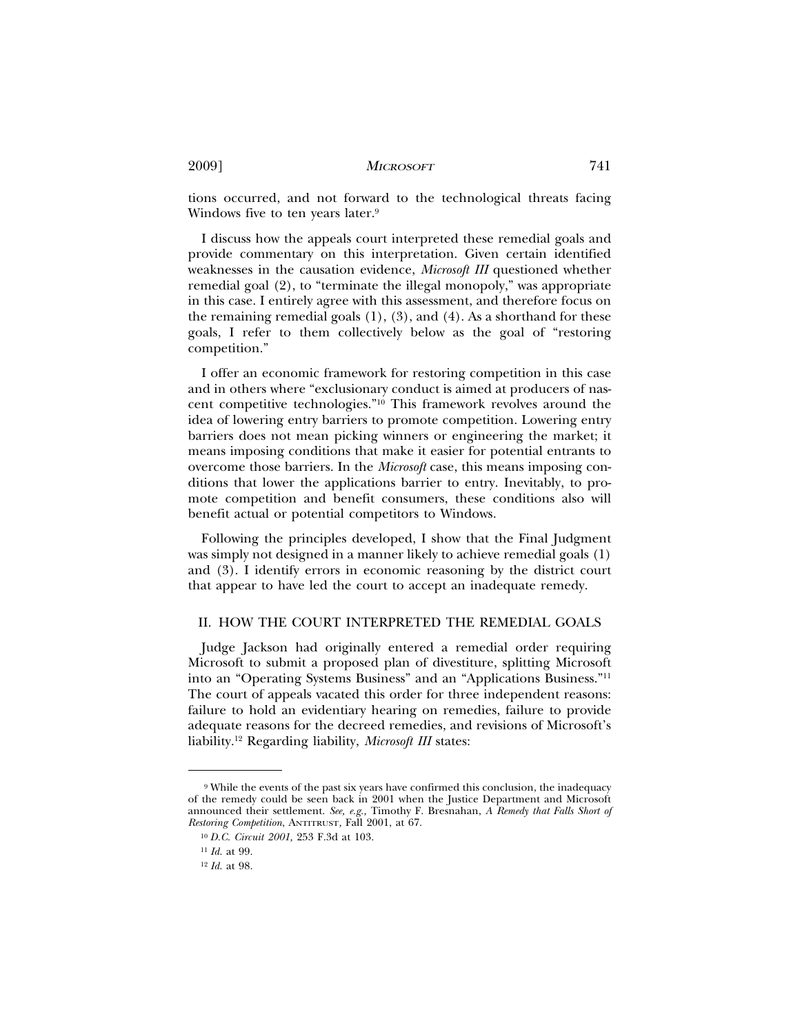tions occurred, and not forward to the technological threats facing Windows five to ten years later.<sup>9</sup>

I discuss how the appeals court interpreted these remedial goals and provide commentary on this interpretation. Given certain identified weaknesses in the causation evidence, *Microsoft III* questioned whether remedial goal (2), to "terminate the illegal monopoly," was appropriate in this case. I entirely agree with this assessment, and therefore focus on the remaining remedial goals  $(1)$ ,  $(3)$ , and  $(4)$ . As a shorthand for these goals, I refer to them collectively below as the goal of "restoring competition."

I offer an economic framework for restoring competition in this case and in others where "exclusionary conduct is aimed at producers of nascent competitive technologies."10 This framework revolves around the idea of lowering entry barriers to promote competition. Lowering entry barriers does not mean picking winners or engineering the market; it means imposing conditions that make it easier for potential entrants to overcome those barriers. In the *Microsoft* case, this means imposing conditions that lower the applications barrier to entry. Inevitably, to promote competition and benefit consumers, these conditions also will benefit actual or potential competitors to Windows.

Following the principles developed, I show that the Final Judgment was simply not designed in a manner likely to achieve remedial goals (1) and (3). I identify errors in economic reasoning by the district court that appear to have led the court to accept an inadequate remedy.

### II. HOW THE COURT INTERPRETED THE REMEDIAL GOALS

Judge Jackson had originally entered a remedial order requiring Microsoft to submit a proposed plan of divestiture, splitting Microsoft into an "Operating Systems Business" and an "Applications Business."11 The court of appeals vacated this order for three independent reasons: failure to hold an evidentiary hearing on remedies, failure to provide adequate reasons for the decreed remedies, and revisions of Microsoft's liability.12 Regarding liability, *Microsoft III* states:

<sup>9</sup> While the events of the past six years have confirmed this conclusion, the inadequacy of the remedy could be seen back in 2001 when the Justice Department and Microsoft announced their settlement. *See, e.g.,* Timothy F. Bresnahan, *A Remedy that Falls Short of Restoring Competition*, ANTITRUST*,* Fall 2001, at 67.

<sup>10</sup> *D.C. Circuit 2001,* 253 F.3d at 103.

<sup>11</sup> *Id.* at 99.

<sup>12</sup> *Id.* at 98.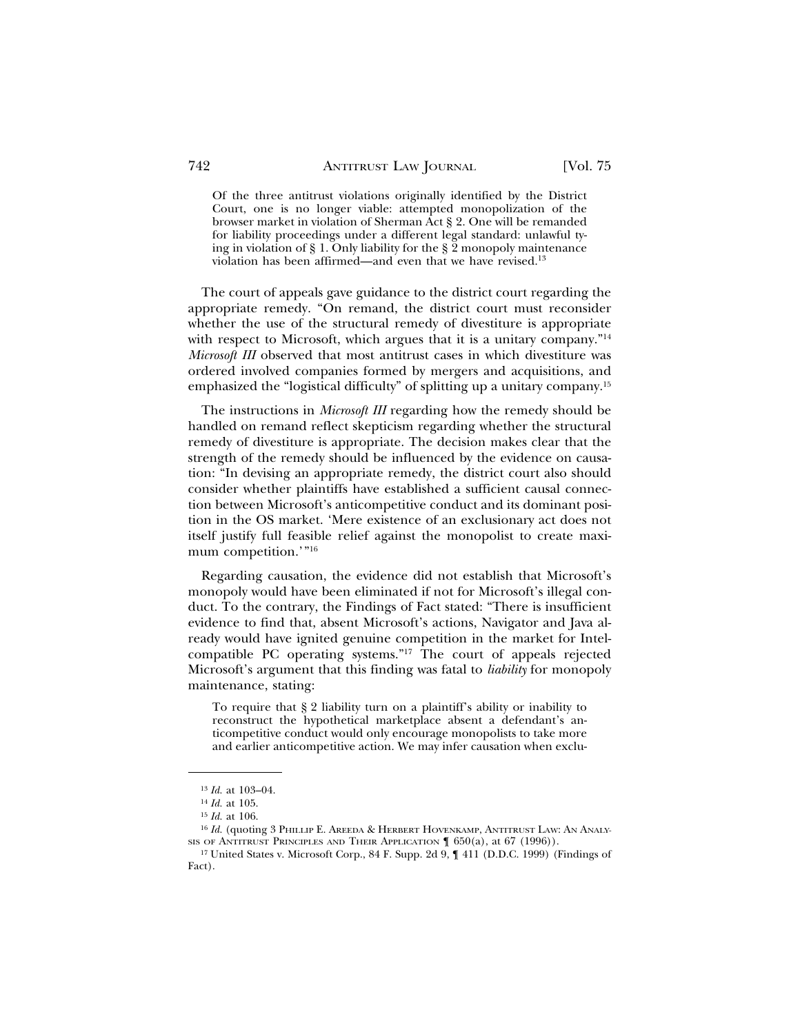Of the three antitrust violations originally identified by the District Court, one is no longer viable: attempted monopolization of the browser market in violation of Sherman Act § 2. One will be remanded for liability proceedings under a different legal standard: unlawful tying in violation of § 1. Only liability for the § 2 monopoly maintenance violation has been affirmed—and even that we have revised.13

The court of appeals gave guidance to the district court regarding the appropriate remedy. "On remand, the district court must reconsider whether the use of the structural remedy of divestiture is appropriate with respect to Microsoft, which argues that it is a unitary company.<sup>"14</sup> *Microsoft III* observed that most antitrust cases in which divestiture was ordered involved companies formed by mergers and acquisitions, and emphasized the "logistical difficulty" of splitting up a unitary company.15

The instructions in *Microsoft III* regarding how the remedy should be handled on remand reflect skepticism regarding whether the structural remedy of divestiture is appropriate. The decision makes clear that the strength of the remedy should be influenced by the evidence on causation: "In devising an appropriate remedy, the district court also should consider whether plaintiffs have established a sufficient causal connection between Microsoft's anticompetitive conduct and its dominant position in the OS market. 'Mere existence of an exclusionary act does not itself justify full feasible relief against the monopolist to create maximum competition.'"16

Regarding causation, the evidence did not establish that Microsoft's monopoly would have been eliminated if not for Microsoft's illegal conduct. To the contrary, the Findings of Fact stated: "There is insufficient evidence to find that, absent Microsoft's actions, Navigator and Java already would have ignited genuine competition in the market for Intelcompatible PC operating systems."17 The court of appeals rejected Microsoft's argument that this finding was fatal to *liability* for monopoly maintenance, stating:

To require that § 2 liability turn on a plaintiff's ability or inability to reconstruct the hypothetical marketplace absent a defendant's anticompetitive conduct would only encourage monopolists to take more and earlier anticompetitive action. We may infer causation when exclu-

<sup>13</sup> *Id.* at 103–04.

<sup>14</sup> *Id.* at 105.

<sup>15</sup> *Id.* at 106.

<sup>&</sup>lt;sup>16</sup> *Id.* (quoting 3 PHILLIP E. AREEDA & HERBERT HOVENKAMP, ANTITRUST LAW: AN ANALY-SIS OF ANTITRUST PRINCIPLES AND THEIR APPLICATION  $\llbracket 650(a)$ , at 67 (1996)).

<sup>17</sup> United States v. Microsoft Corp., 84 F. Supp. 2d 9, ¶ 411 (D.D.C. 1999) (Findings of Fact).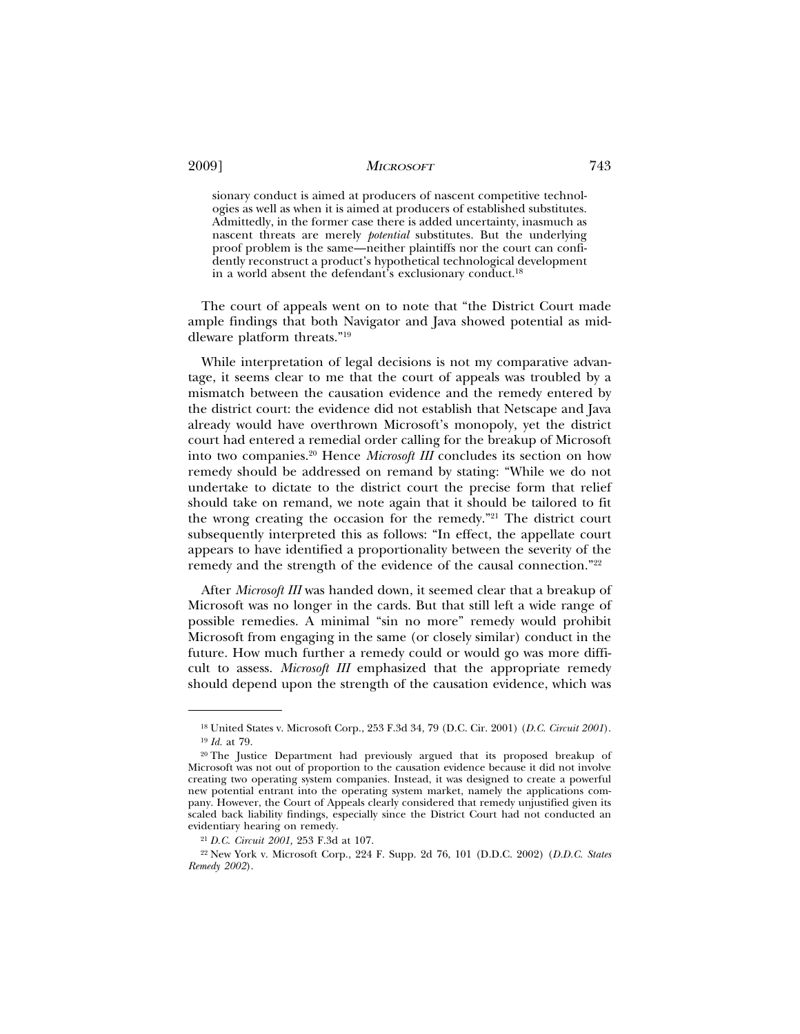sionary conduct is aimed at producers of nascent competitive technologies as well as when it is aimed at producers of established substitutes. Admittedly, in the former case there is added uncertainty, inasmuch as nascent threats are merely *potential* substitutes. But the underlying proof problem is the same—neither plaintiffs nor the court can confidently reconstruct a product's hypothetical technological development in a world absent the defendant's exclusionary conduct.18

The court of appeals went on to note that "the District Court made ample findings that both Navigator and Java showed potential as middleware platform threats."19

While interpretation of legal decisions is not my comparative advantage, it seems clear to me that the court of appeals was troubled by a mismatch between the causation evidence and the remedy entered by the district court: the evidence did not establish that Netscape and Java already would have overthrown Microsoft's monopoly, yet the district court had entered a remedial order calling for the breakup of Microsoft into two companies.20 Hence *Microsoft III* concludes its section on how remedy should be addressed on remand by stating: "While we do not undertake to dictate to the district court the precise form that relief should take on remand, we note again that it should be tailored to fit the wrong creating the occasion for the remedy."21 The district court subsequently interpreted this as follows: "In effect, the appellate court appears to have identified a proportionality between the severity of the remedy and the strength of the evidence of the causal connection."22

After *Microsoft III* was handed down, it seemed clear that a breakup of Microsoft was no longer in the cards. But that still left a wide range of possible remedies. A minimal "sin no more" remedy would prohibit Microsoft from engaging in the same (or closely similar) conduct in the future. How much further a remedy could or would go was more difficult to assess. *Microsoft III* emphasized that the appropriate remedy should depend upon the strength of the causation evidence, which was

<sup>18</sup> United States v. Microsoft Corp., 253 F.3d 34, 79 (D.C. Cir. 2001) (*D.C. Circuit 2001*). <sup>19</sup> *Id.* at 79.

<sup>20</sup> The Justice Department had previously argued that its proposed breakup of Microsoft was not out of proportion to the causation evidence because it did not involve creating two operating system companies. Instead, it was designed to create a powerful new potential entrant into the operating system market, namely the applications company. However, the Court of Appeals clearly considered that remedy unjustified given its scaled back liability findings, especially since the District Court had not conducted an evidentiary hearing on remedy.

<sup>21</sup> *D.C. Circuit 2001,* 253 F.3d at 107.

<sup>22</sup> New York v. Microsoft Corp., 224 F. Supp. 2d 76, 101 (D.D.C. 2002) (*D.D.C. States Remedy 2002*).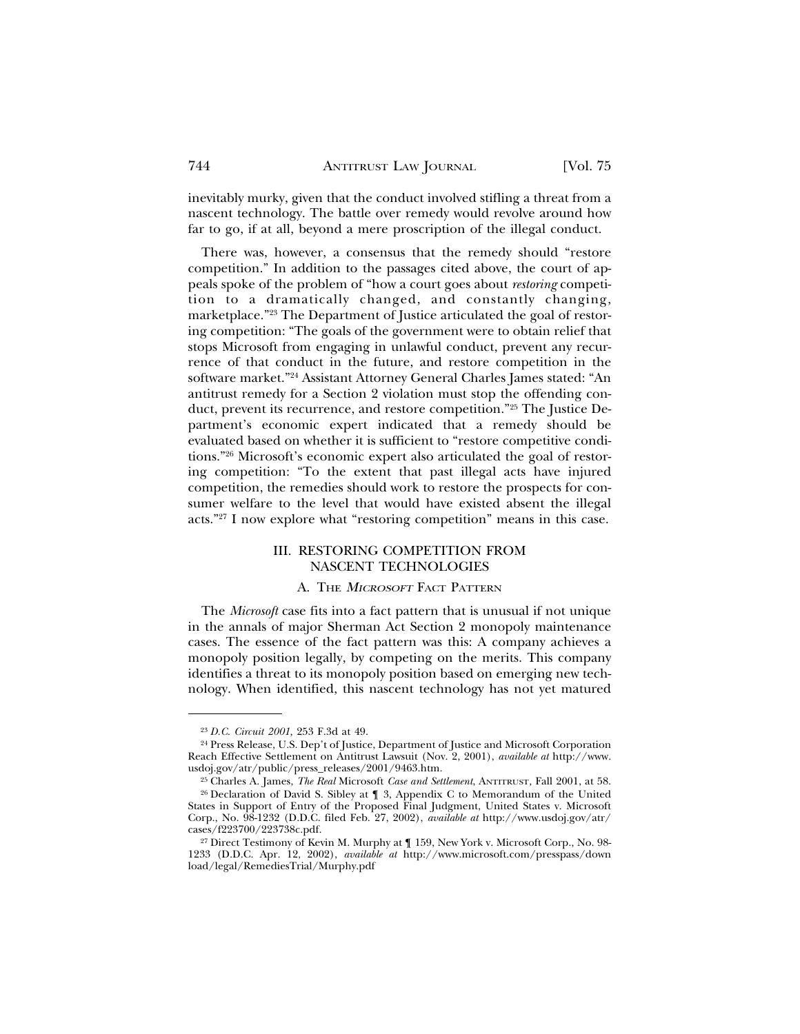inevitably murky, given that the conduct involved stifling a threat from a nascent technology. The battle over remedy would revolve around how far to go, if at all, beyond a mere proscription of the illegal conduct.

There was, however, a consensus that the remedy should "restore competition." In addition to the passages cited above, the court of appeals spoke of the problem of "how a court goes about *restoring* competition to a dramatically changed, and constantly changing, marketplace."23 The Department of Justice articulated the goal of restoring competition: "The goals of the government were to obtain relief that stops Microsoft from engaging in unlawful conduct, prevent any recurrence of that conduct in the future, and restore competition in the software market."24 Assistant Attorney General Charles James stated: "An antitrust remedy for a Section 2 violation must stop the offending conduct, prevent its recurrence, and restore competition."25 The Justice Department's economic expert indicated that a remedy should be evaluated based on whether it is sufficient to "restore competitive conditions."26 Microsoft's economic expert also articulated the goal of restoring competition: "To the extent that past illegal acts have injured competition, the remedies should work to restore the prospects for consumer welfare to the level that would have existed absent the illegal acts."27 I now explore what "restoring competition" means in this case.

## III. RESTORING COMPETITION FROM NASCENT TECHNOLOGIES

# A. THE <sup>M</sup>ICROSOFT FACT PATTERN

The *Microsoft* case fits into a fact pattern that is unusual if not unique in the annals of major Sherman Act Section 2 monopoly maintenance cases. The essence of the fact pattern was this: A company achieves a monopoly position legally, by competing on the merits. This company identifies a threat to its monopoly position based on emerging new technology. When identified, this nascent technology has not yet matured

<sup>23</sup> *D.C. Circuit 2001,* 253 F.3d at 49.

<sup>24</sup> Press Release, U.S. Dep't of Justice, Department of Justice and Microsoft Corporation Reach Effective Settlement on Antitrust Lawsuit (Nov. 2, 2001), *available at* http://www. usdoj.gov/atr/public/press\_releases/2001/9463.htm.

<sup>25</sup> Charles A. James, *The Real* Microsoft *Case and Settlement*, ANTITRUST*,* Fall 2001, at 58.

<sup>26</sup> Declaration of David S. Sibley at ¶ 3, Appendix C to Memorandum of the United States in Support of Entry of the Proposed Final Judgment, United States v. Microsoft Corp., No. 98-1232 (D.D.C. filed Feb. 27, 2002), *available at* http://www.usdoj.gov/atr/ cases/f223700/223738c.pdf.

<sup>27</sup> Direct Testimony of Kevin M. Murphy at ¶ 159, New York v. Microsoft Corp., No. 98- 1233 (D.D.C. Apr. 12, 2002), *available at* http://www.microsoft.com/presspass/down load/legal/RemediesTrial/Murphy.pdf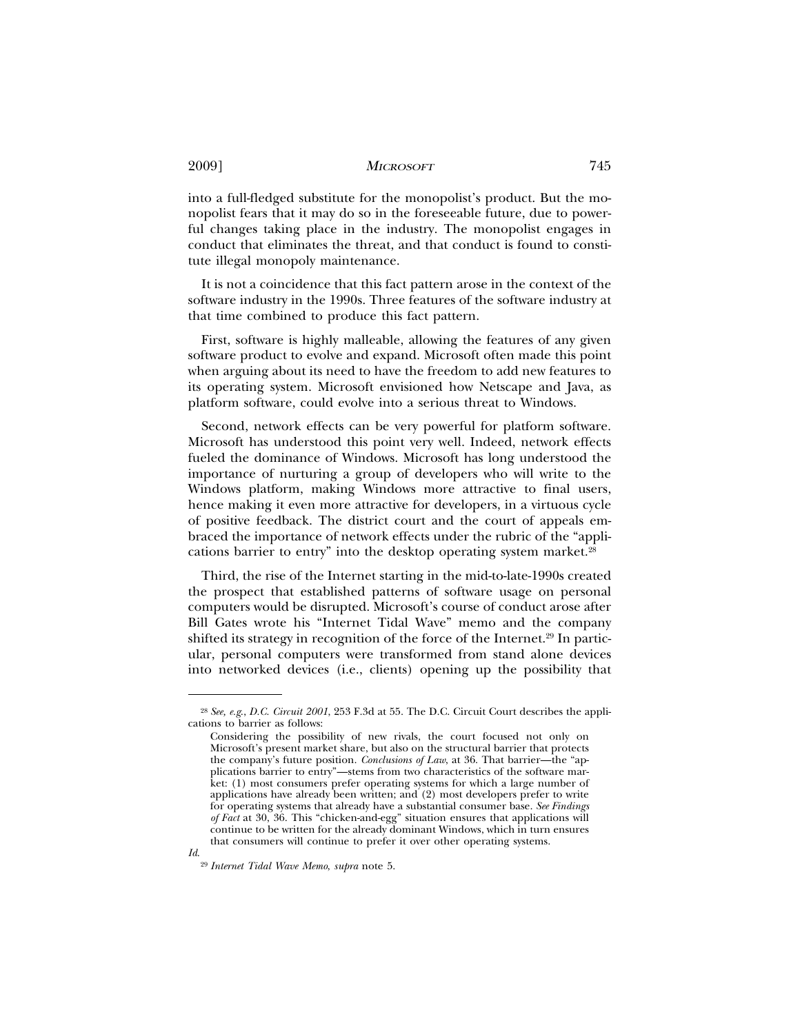into a full-fledged substitute for the monopolist's product. But the monopolist fears that it may do so in the foreseeable future, due to powerful changes taking place in the industry. The monopolist engages in conduct that eliminates the threat, and that conduct is found to constitute illegal monopoly maintenance.

It is not a coincidence that this fact pattern arose in the context of the software industry in the 1990s. Three features of the software industry at that time combined to produce this fact pattern.

First, software is highly malleable, allowing the features of any given software product to evolve and expand. Microsoft often made this point when arguing about its need to have the freedom to add new features to its operating system. Microsoft envisioned how Netscape and Java, as platform software, could evolve into a serious threat to Windows.

Second, network effects can be very powerful for platform software. Microsoft has understood this point very well. Indeed, network effects fueled the dominance of Windows. Microsoft has long understood the importance of nurturing a group of developers who will write to the Windows platform, making Windows more attractive to final users, hence making it even more attractive for developers, in a virtuous cycle of positive feedback. The district court and the court of appeals embraced the importance of network effects under the rubric of the "applications barrier to entry" into the desktop operating system market.<sup>28</sup>

Third, the rise of the Internet starting in the mid-to-late-1990s created the prospect that established patterns of software usage on personal computers would be disrupted. Microsoft's course of conduct arose after Bill Gates wrote his "Internet Tidal Wave" memo and the company shifted its strategy in recognition of the force of the Internet.<sup>29</sup> In particular, personal computers were transformed from stand alone devices into networked devices (i.e., clients) opening up the possibility that

<sup>28</sup> *See, e.g*., *D.C. Circuit 2001*, 253 F.3d at 55. The D.C. Circuit Court describes the applications to barrier as follows:

Considering the possibility of new rivals, the court focused not only on Microsoft's present market share, but also on the structural barrier that protects the company's future position. *Conclusions of Law*, at 36. That barrier—the "applications barrier to entry"—stems from two characteristics of the software market: (1) most consumers prefer operating systems for which a large number of applications have already been written; and (2) most developers prefer to write for operating systems that already have a substantial consumer base. *See Findings of Fact* at 30, 36. This "chicken-and-egg" situation ensures that applications will continue to be written for the already dominant Windows, which in turn ensures that consumers will continue to prefer it over other operating systems.

<sup>29</sup> *Internet Tidal Wave Memo*, *supra* note 5.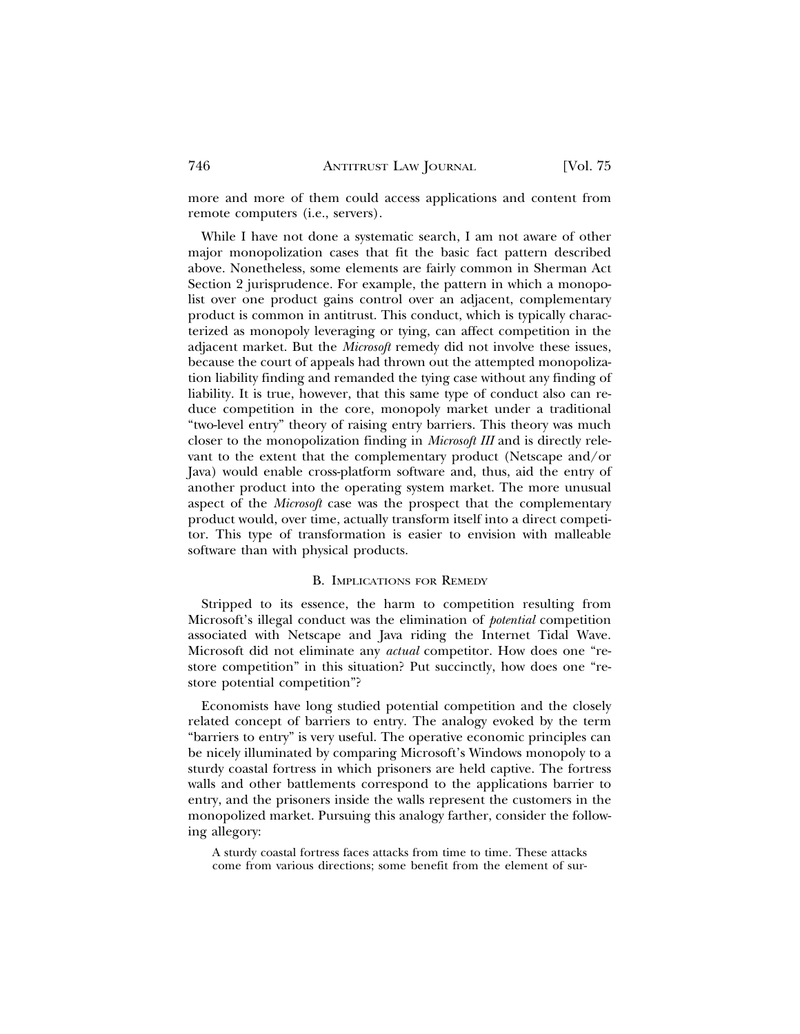more and more of them could access applications and content from remote computers (i.e., servers).

While I have not done a systematic search, I am not aware of other major monopolization cases that fit the basic fact pattern described above. Nonetheless, some elements are fairly common in Sherman Act Section 2 jurisprudence. For example, the pattern in which a monopolist over one product gains control over an adjacent, complementary product is common in antitrust. This conduct, which is typically characterized as monopoly leveraging or tying, can affect competition in the adjacent market. But the *Microsoft* remedy did not involve these issues, because the court of appeals had thrown out the attempted monopolization liability finding and remanded the tying case without any finding of liability. It is true, however, that this same type of conduct also can reduce competition in the core, monopoly market under a traditional "two-level entry" theory of raising entry barriers. This theory was much closer to the monopolization finding in *Microsoft III* and is directly relevant to the extent that the complementary product (Netscape and/or Java) would enable cross-platform software and, thus, aid the entry of another product into the operating system market. The more unusual aspect of the *Microsoft* case was the prospect that the complementary product would, over time, actually transform itself into a direct competitor. This type of transformation is easier to envision with malleable software than with physical products.

### B. IMPLICATIONS FOR REMEDY

Stripped to its essence, the harm to competition resulting from Microsoft's illegal conduct was the elimination of *potential* competition associated with Netscape and Java riding the Internet Tidal Wave. Microsoft did not eliminate any *actual* competitor. How does one "restore competition" in this situation? Put succinctly, how does one "restore potential competition"?

Economists have long studied potential competition and the closely related concept of barriers to entry. The analogy evoked by the term "barriers to entry" is very useful. The operative economic principles can be nicely illuminated by comparing Microsoft's Windows monopoly to a sturdy coastal fortress in which prisoners are held captive. The fortress walls and other battlements correspond to the applications barrier to entry, and the prisoners inside the walls represent the customers in the monopolized market. Pursuing this analogy farther, consider the following allegory:

A sturdy coastal fortress faces attacks from time to time. These attacks come from various directions; some benefit from the element of sur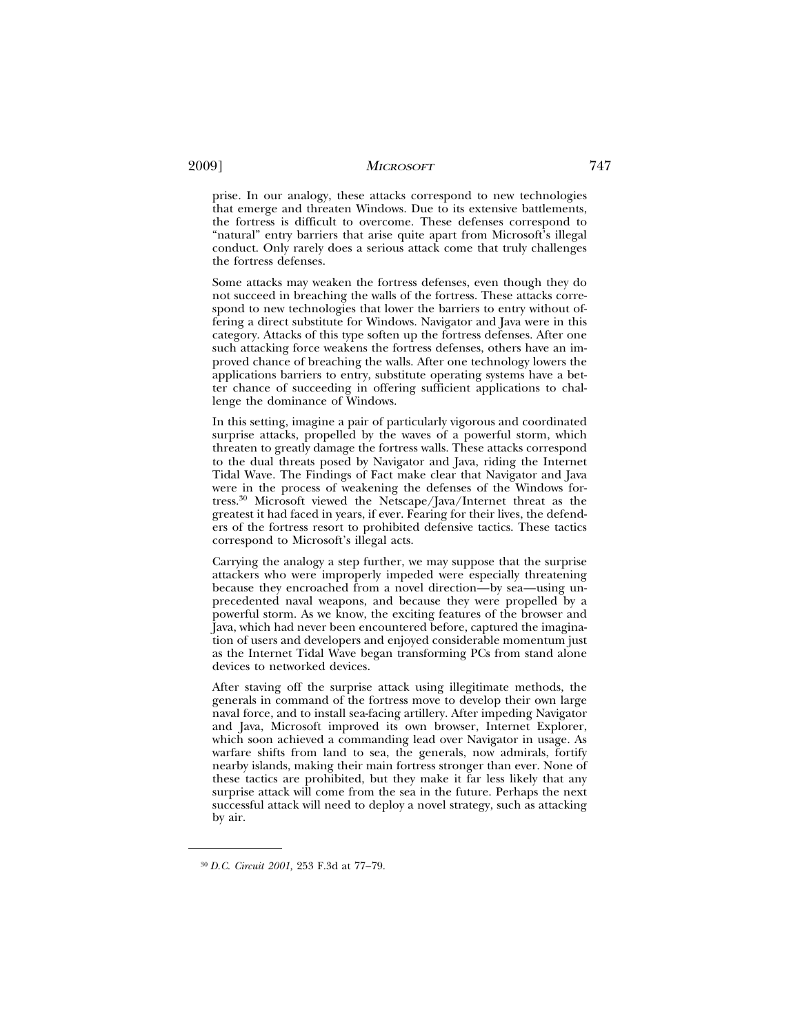prise. In our analogy, these attacks correspond to new technologies that emerge and threaten Windows. Due to its extensive battlements, the fortress is difficult to overcome. These defenses correspond to "natural" entry barriers that arise quite apart from Microsoft's illegal conduct. Only rarely does a serious attack come that truly challenges the fortress defenses.

Some attacks may weaken the fortress defenses, even though they do not succeed in breaching the walls of the fortress. These attacks correspond to new technologies that lower the barriers to entry without offering a direct substitute for Windows. Navigator and Java were in this category. Attacks of this type soften up the fortress defenses. After one such attacking force weakens the fortress defenses, others have an improved chance of breaching the walls. After one technology lowers the applications barriers to entry, substitute operating systems have a better chance of succeeding in offering sufficient applications to challenge the dominance of Windows.

In this setting, imagine a pair of particularly vigorous and coordinated surprise attacks, propelled by the waves of a powerful storm, which threaten to greatly damage the fortress walls. These attacks correspond to the dual threats posed by Navigator and Java, riding the Internet Tidal Wave. The Findings of Fact make clear that Navigator and Java were in the process of weakening the defenses of the Windows fortress.30 Microsoft viewed the Netscape/Java/Internet threat as the greatest it had faced in years, if ever. Fearing for their lives, the defenders of the fortress resort to prohibited defensive tactics. These tactics correspond to Microsoft's illegal acts.

Carrying the analogy a step further, we may suppose that the surprise attackers who were improperly impeded were especially threatening because they encroached from a novel direction—by sea—using unprecedented naval weapons, and because they were propelled by a powerful storm. As we know, the exciting features of the browser and Java, which had never been encountered before, captured the imagination of users and developers and enjoyed considerable momentum just as the Internet Tidal Wave began transforming PCs from stand alone devices to networked devices.

After staving off the surprise attack using illegitimate methods, the generals in command of the fortress move to develop their own large naval force, and to install sea-facing artillery. After impeding Navigator and Java, Microsoft improved its own browser, Internet Explorer, which soon achieved a commanding lead over Navigator in usage. As warfare shifts from land to sea, the generals, now admirals, fortify nearby islands, making their main fortress stronger than ever. None of these tactics are prohibited, but they make it far less likely that any surprise attack will come from the sea in the future. Perhaps the next successful attack will need to deploy a novel strategy, such as attacking by air.

<sup>30</sup> *D.C. Circuit 2001,* 253 F.3d at 77–79.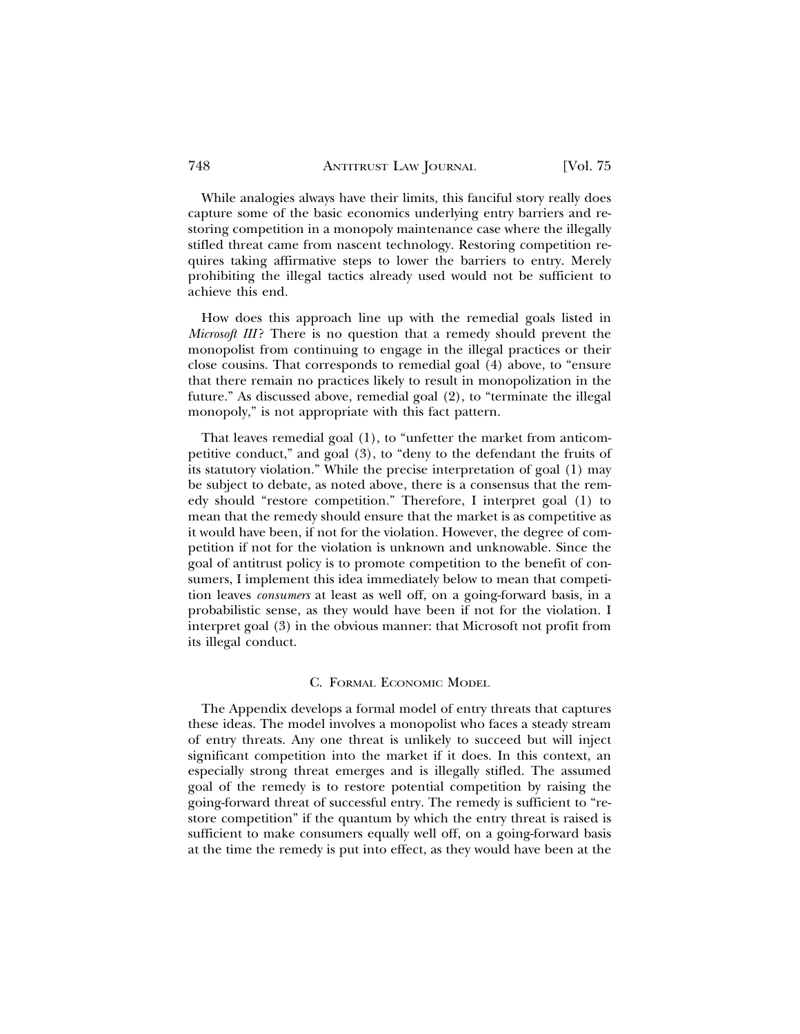While analogies always have their limits, this fanciful story really does capture some of the basic economics underlying entry barriers and restoring competition in a monopoly maintenance case where the illegally stifled threat came from nascent technology. Restoring competition requires taking affirmative steps to lower the barriers to entry. Merely prohibiting the illegal tactics already used would not be sufficient to achieve this end.

How does this approach line up with the remedial goals listed in *Microsoft III*? There is no question that a remedy should prevent the monopolist from continuing to engage in the illegal practices or their close cousins. That corresponds to remedial goal (4) above, to "ensure that there remain no practices likely to result in monopolization in the future." As discussed above, remedial goal (2), to "terminate the illegal monopoly," is not appropriate with this fact pattern.

That leaves remedial goal (1), to "unfetter the market from anticompetitive conduct," and goal (3), to "deny to the defendant the fruits of its statutory violation." While the precise interpretation of goal (1) may be subject to debate, as noted above, there is a consensus that the remedy should "restore competition." Therefore, I interpret goal (1) to mean that the remedy should ensure that the market is as competitive as it would have been, if not for the violation. However, the degree of competition if not for the violation is unknown and unknowable. Since the goal of antitrust policy is to promote competition to the benefit of consumers, I implement this idea immediately below to mean that competition leaves *consumers* at least as well off, on a going-forward basis, in a probabilistic sense, as they would have been if not for the violation. I interpret goal (3) in the obvious manner: that Microsoft not profit from its illegal conduct.

#### C. FORMAL ECONOMIC MODEL

The Appendix develops a formal model of entry threats that captures these ideas. The model involves a monopolist who faces a steady stream of entry threats. Any one threat is unlikely to succeed but will inject significant competition into the market if it does. In this context, an especially strong threat emerges and is illegally stifled. The assumed goal of the remedy is to restore potential competition by raising the going-forward threat of successful entry. The remedy is sufficient to "restore competition" if the quantum by which the entry threat is raised is sufficient to make consumers equally well off, on a going-forward basis at the time the remedy is put into effect, as they would have been at the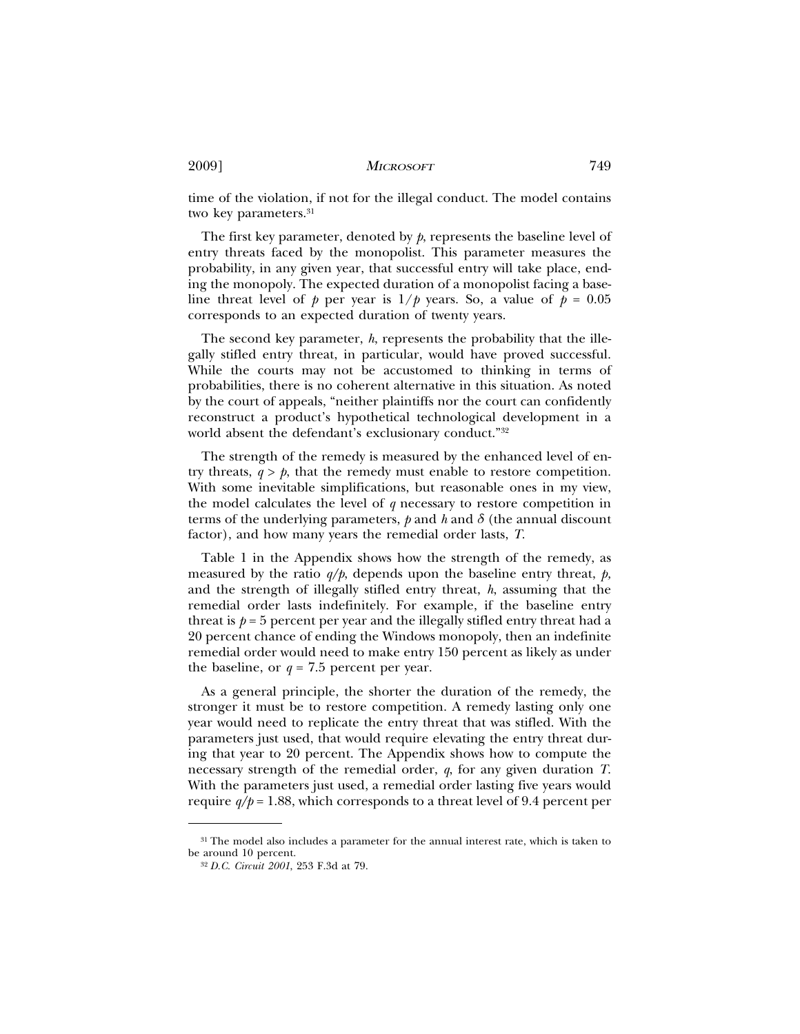time of the violation, if not for the illegal conduct. The model contains two key parameters.<sup>31</sup>

The first key parameter, denoted by *p*, represents the baseline level of entry threats faced by the monopolist. This parameter measures the probability, in any given year, that successful entry will take place, ending the monopoly. The expected duration of a monopolist facing a baseline threat level of *p* per year is  $1/p$  years. So, a value of  $p = 0.05$ corresponds to an expected duration of twenty years.

The second key parameter, *h*, represents the probability that the illegally stifled entry threat, in particular, would have proved successful. While the courts may not be accustomed to thinking in terms of probabilities, there is no coherent alternative in this situation. As noted by the court of appeals, "neither plaintiffs nor the court can confidently reconstruct a product's hypothetical technological development in a world absent the defendant's exclusionary conduct."32

The strength of the remedy is measured by the enhanced level of entry threats,  $q > p$ , that the remedy must enable to restore competition. With some inevitable simplifications, but reasonable ones in my view, the model calculates the level of *q* necessary to restore competition in terms of the underlying parameters,  $\phi$  and  $\lambda$  and  $\delta$  (the annual discount factor), and how many years the remedial order lasts, *T*.

Table 1 in the Appendix shows how the strength of the remedy, as measured by the ratio *q/p*, depends upon the baseline entry threat, *p,* and the strength of illegally stifled entry threat, *h*, assuming that the remedial order lasts indefinitely. For example, if the baseline entry threat is  $p = 5$  percent per year and the illegally stifled entry threat had a 20 percent chance of ending the Windows monopoly, then an indefinite remedial order would need to make entry 150 percent as likely as under the baseline, or  $q = 7.5$  percent per year.

As a general principle, the shorter the duration of the remedy, the stronger it must be to restore competition. A remedy lasting only one year would need to replicate the entry threat that was stifled. With the parameters just used, that would require elevating the entry threat during that year to 20 percent. The Appendix shows how to compute the necessary strength of the remedial order, *q*, for any given duration *T*. With the parameters just used, a remedial order lasting five years would require  $q/p = 1.88$ , which corresponds to a threat level of 9.4 percent per

<sup>&</sup>lt;sup>31</sup> The model also includes a parameter for the annual interest rate, which is taken to be around 10 percent.

<sup>32</sup> *D.C. Circuit 2001*, 253 F.3d at 79.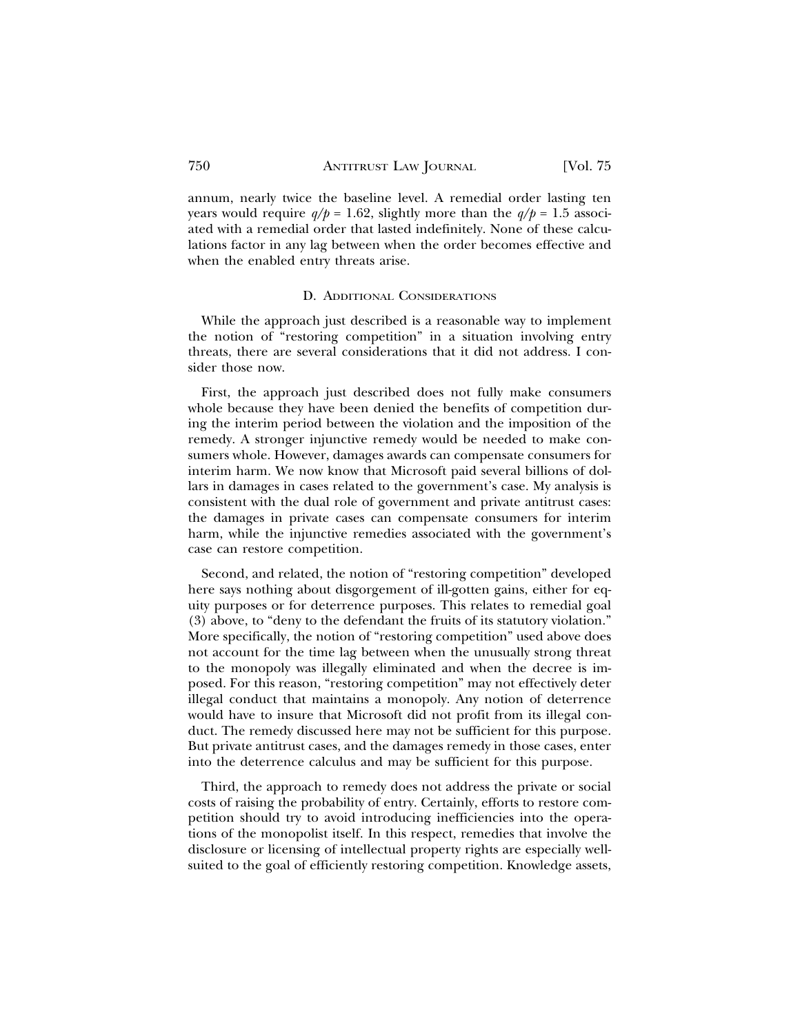annum, nearly twice the baseline level. A remedial order lasting ten years would require  $q/p = 1.62$ , slightly more than the  $q/p = 1.5$  associated with a remedial order that lasted indefinitely. None of these calculations factor in any lag between when the order becomes effective and when the enabled entry threats arise.

### D. ADDITIONAL CONSIDERATIONS

While the approach just described is a reasonable way to implement the notion of "restoring competition" in a situation involving entry threats, there are several considerations that it did not address. I consider those now.

First, the approach just described does not fully make consumers whole because they have been denied the benefits of competition during the interim period between the violation and the imposition of the remedy. A stronger injunctive remedy would be needed to make consumers whole. However, damages awards can compensate consumers for interim harm. We now know that Microsoft paid several billions of dollars in damages in cases related to the government's case. My analysis is consistent with the dual role of government and private antitrust cases: the damages in private cases can compensate consumers for interim harm, while the injunctive remedies associated with the government's case can restore competition.

Second, and related, the notion of "restoring competition" developed here says nothing about disgorgement of ill-gotten gains, either for equity purposes or for deterrence purposes. This relates to remedial goal (3) above, to "deny to the defendant the fruits of its statutory violation." More specifically, the notion of "restoring competition" used above does not account for the time lag between when the unusually strong threat to the monopoly was illegally eliminated and when the decree is imposed. For this reason, "restoring competition" may not effectively deter illegal conduct that maintains a monopoly. Any notion of deterrence would have to insure that Microsoft did not profit from its illegal conduct. The remedy discussed here may not be sufficient for this purpose. But private antitrust cases, and the damages remedy in those cases, enter into the deterrence calculus and may be sufficient for this purpose.

Third, the approach to remedy does not address the private or social costs of raising the probability of entry. Certainly, efforts to restore competition should try to avoid introducing inefficiencies into the operations of the monopolist itself. In this respect, remedies that involve the disclosure or licensing of intellectual property rights are especially wellsuited to the goal of efficiently restoring competition. Knowledge assets,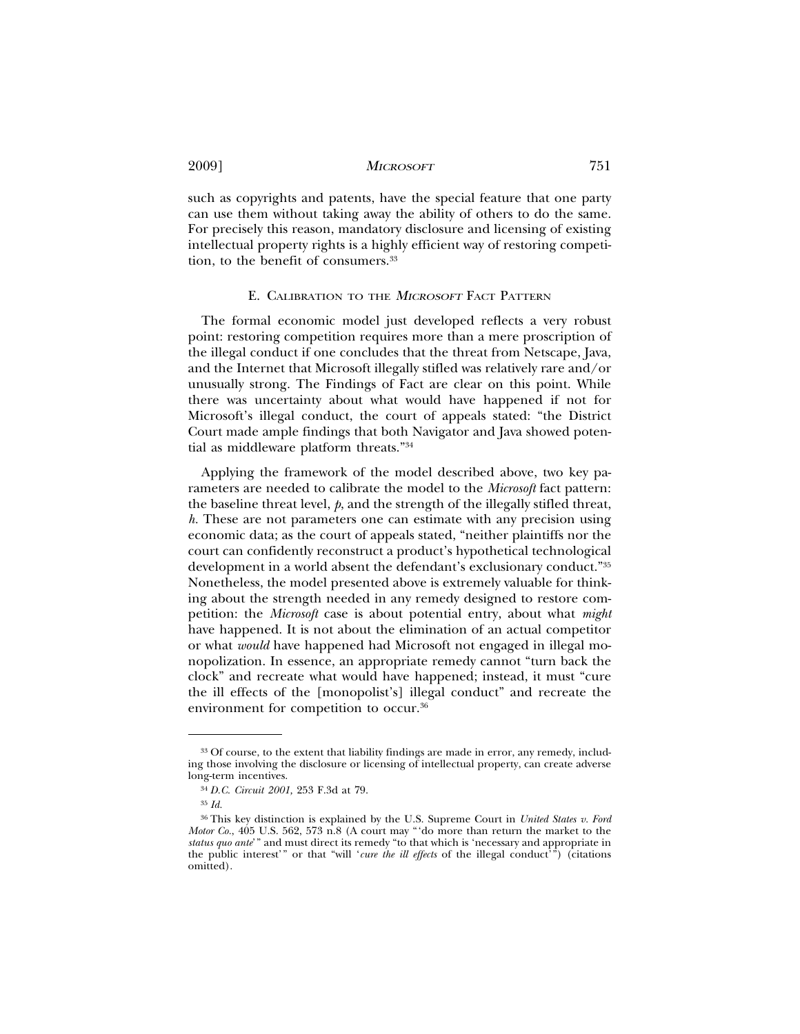such as copyrights and patents, have the special feature that one party can use them without taking away the ability of others to do the same. For precisely this reason, mandatory disclosure and licensing of existing intellectual property rights is a highly efficient way of restoring competition, to the benefit of consumers.<sup>33</sup>

#### E. CALIBRATION TO THE *MICROSOFT* FACT PATTERN

The formal economic model just developed reflects a very robust point: restoring competition requires more than a mere proscription of the illegal conduct if one concludes that the threat from Netscape, Java, and the Internet that Microsoft illegally stifled was relatively rare and/or unusually strong. The Findings of Fact are clear on this point. While there was uncertainty about what would have happened if not for Microsoft's illegal conduct, the court of appeals stated: "the District Court made ample findings that both Navigator and Java showed potential as middleware platform threats."34

Applying the framework of the model described above, two key parameters are needed to calibrate the model to the *Microsoft* fact pattern: the baseline threat level, *p*, and the strength of the illegally stifled threat, *h.* These are not parameters one can estimate with any precision using economic data; as the court of appeals stated, "neither plaintiffs nor the court can confidently reconstruct a product's hypothetical technological development in a world absent the defendant's exclusionary conduct."35 Nonetheless, the model presented above is extremely valuable for thinking about the strength needed in any remedy designed to restore competition: the *Microsoft* case is about potential entry, about what *might* have happened. It is not about the elimination of an actual competitor or what *would* have happened had Microsoft not engaged in illegal monopolization. In essence, an appropriate remedy cannot "turn back the clock" and recreate what would have happened; instead, it must "cure the ill effects of the [monopolist's] illegal conduct" and recreate the environment for competition to occur.36

<sup>&</sup>lt;sup>33</sup> Of course, to the extent that liability findings are made in error, any remedy, including those involving the disclosure or licensing of intellectual property, can create adverse long-term incentives.

<sup>34</sup> *D.C. Circuit 2001,* 253 F.3d at 79.

<sup>35</sup> *Id.*

<sup>36</sup> This key distinction is explained by the U.S. Supreme Court in *United States v. Ford Motor Co.*, 405 U.S. 562, 573 n.8 (A court may "'do more than return the market to the *status quo ante*'" and must direct its remedy "to that which is 'necessary and appropriate in the public interest'" or that "will '*cure the ill effects* of the illegal conduct'") (citations omitted).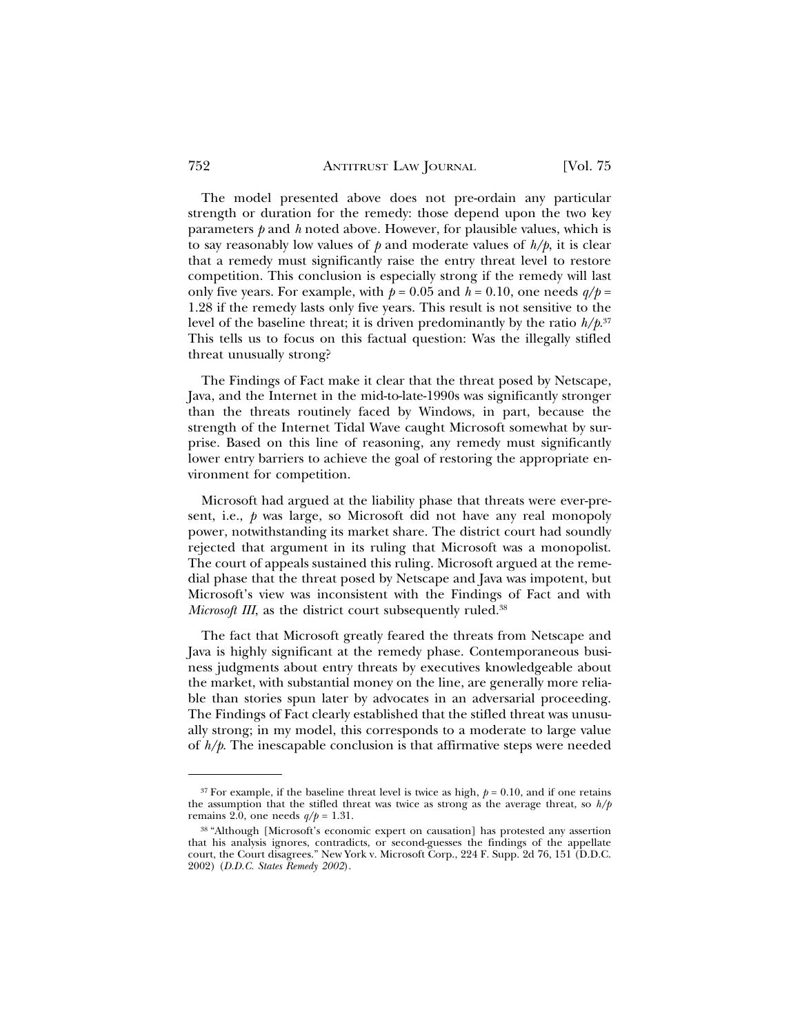The model presented above does not pre-ordain any particular strength or duration for the remedy: those depend upon the two key parameters *p* and *h* noted above. However, for plausible values, which is to say reasonably low values of  $p$  and moderate values of  $h/p$ , it is clear that a remedy must significantly raise the entry threat level to restore competition. This conclusion is especially strong if the remedy will last only five years. For example, with  $p = 0.05$  and  $h = 0.10$ , one needs  $q/p =$ 1.28 if the remedy lasts only five years. This result is not sensitive to the level of the baseline threat; it is driven predominantly by the ratio *h/p*. 37 This tells us to focus on this factual question: Was the illegally stifled threat unusually strong?

The Findings of Fact make it clear that the threat posed by Netscape, Java, and the Internet in the mid-to-late-1990s was significantly stronger than the threats routinely faced by Windows, in part, because the strength of the Internet Tidal Wave caught Microsoft somewhat by surprise. Based on this line of reasoning, any remedy must significantly lower entry barriers to achieve the goal of restoring the appropriate environment for competition.

Microsoft had argued at the liability phase that threats were ever-present, i.e., *p* was large, so Microsoft did not have any real monopoly power, notwithstanding its market share. The district court had soundly rejected that argument in its ruling that Microsoft was a monopolist. The court of appeals sustained this ruling. Microsoft argued at the remedial phase that the threat posed by Netscape and Java was impotent, but Microsoft's view was inconsistent with the Findings of Fact and with *Microsoft III*, as the district court subsequently ruled.<sup>38</sup>

The fact that Microsoft greatly feared the threats from Netscape and Java is highly significant at the remedy phase. Contemporaneous business judgments about entry threats by executives knowledgeable about the market, with substantial money on the line, are generally more reliable than stories spun later by advocates in an adversarial proceeding. The Findings of Fact clearly established that the stifled threat was unusually strong; in my model, this corresponds to a moderate to large value of *h/p*. The inescapable conclusion is that affirmative steps were needed

<sup>&</sup>lt;sup>37</sup> For example, if the baseline threat level is twice as high,  $p = 0.10$ , and if one retains the assumption that the stifled threat was twice as strong as the average threat, so *h/p* remains 2.0, one needs *q/p* = 1.31.

<sup>38</sup> "Although [Microsoft's economic expert on causation] has protested any assertion that his analysis ignores, contradicts, or second-guesses the findings of the appellate court, the Court disagrees." New York v. Microsoft Corp., 224 F. Supp. 2d 76, 151 (D.D.C. 2002) (*D.D.C. States Remedy 2002*).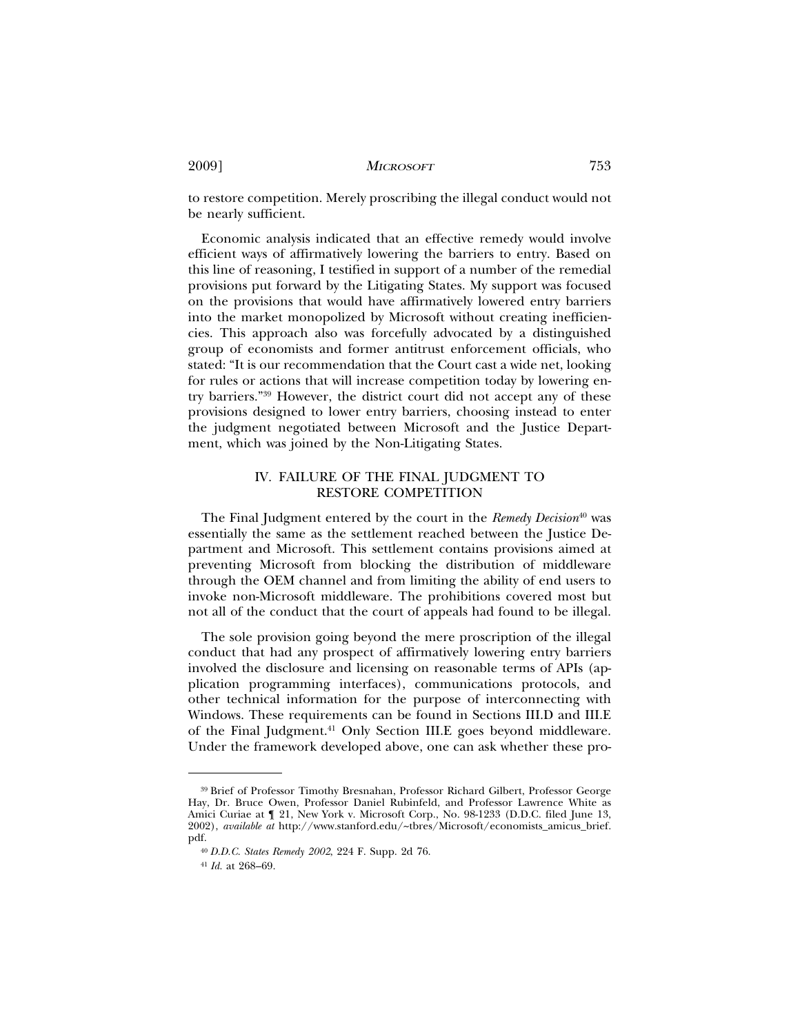to restore competition. Merely proscribing the illegal conduct would not be nearly sufficient.

Economic analysis indicated that an effective remedy would involve efficient ways of affirmatively lowering the barriers to entry. Based on this line of reasoning, I testified in support of a number of the remedial provisions put forward by the Litigating States. My support was focused on the provisions that would have affirmatively lowered entry barriers into the market monopolized by Microsoft without creating inefficiencies. This approach also was forcefully advocated by a distinguished group of economists and former antitrust enforcement officials, who stated: "It is our recommendation that the Court cast a wide net, looking for rules or actions that will increase competition today by lowering entry barriers."39 However, the district court did not accept any of these provisions designed to lower entry barriers, choosing instead to enter the judgment negotiated between Microsoft and the Justice Department, which was joined by the Non-Litigating States.

## IV. FAILURE OF THE FINAL JUDGMENT TO RESTORE COMPETITION

The Final Judgment entered by the court in the *Remedy Decision*<sup>40</sup> was essentially the same as the settlement reached between the Justice Department and Microsoft. This settlement contains provisions aimed at preventing Microsoft from blocking the distribution of middleware through the OEM channel and from limiting the ability of end users to invoke non-Microsoft middleware. The prohibitions covered most but not all of the conduct that the court of appeals had found to be illegal.

The sole provision going beyond the mere proscription of the illegal conduct that had any prospect of affirmatively lowering entry barriers involved the disclosure and licensing on reasonable terms of APIs (application programming interfaces), communications protocols, and other technical information for the purpose of interconnecting with Windows. These requirements can be found in Sections III.D and III.E of the Final Judgment.<sup>41</sup> Only Section III.E goes beyond middleware. Under the framework developed above, one can ask whether these pro-

<sup>39</sup> Brief of Professor Timothy Bresnahan, Professor Richard Gilbert, Professor George Hay, Dr. Bruce Owen, Professor Daniel Rubinfeld, and Professor Lawrence White as Amici Curiae at ¶ 21, New York v. Microsoft Corp., No. 98-1233 (D.D.C. filed June 13, 2002), *available at* http://www.stanford.edu/~tbres/Microsoft/economists\_amicus\_brief. pdf.

<sup>40</sup> *D.D.C. States Remedy 2002*, 224 F. Supp. 2d 76.

<sup>41</sup> *Id.* at 268–69.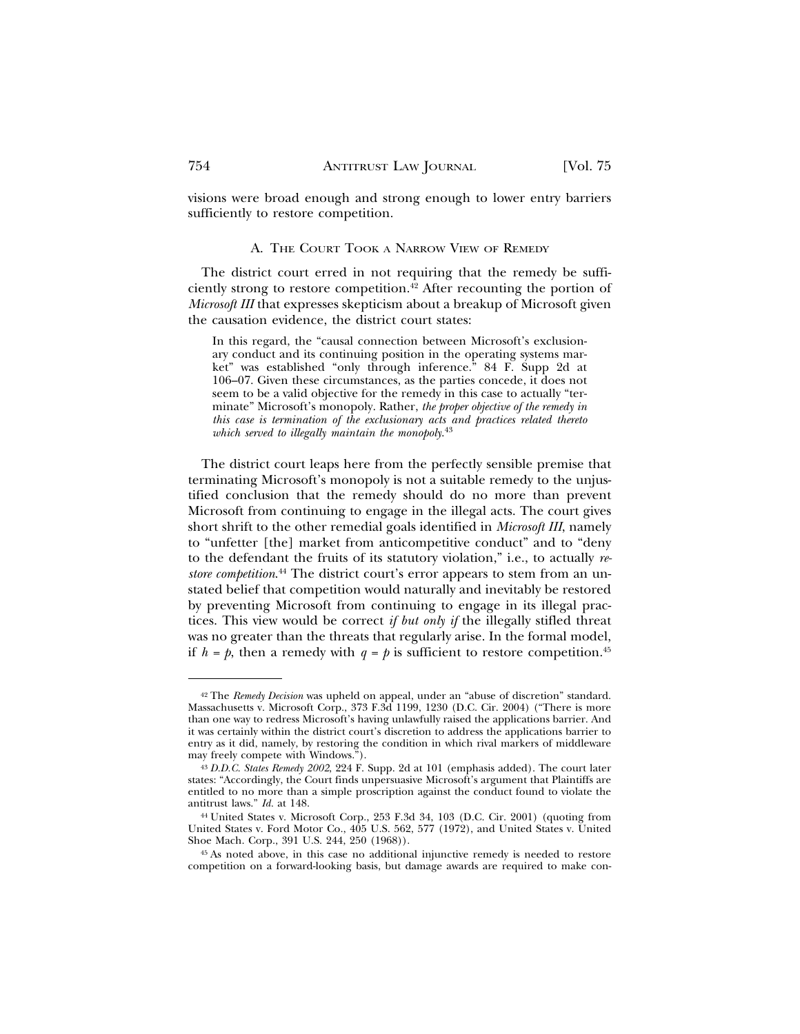visions were broad enough and strong enough to lower entry barriers sufficiently to restore competition.

#### A. THE COURT TOOK A NARROW VIEW OF REMEDY

The district court erred in not requiring that the remedy be sufficiently strong to restore competition.<sup>42</sup> After recounting the portion of *Microsoft III* that expresses skepticism about a breakup of Microsoft given the causation evidence, the district court states:

In this regard, the "causal connection between Microsoft's exclusionary conduct and its continuing position in the operating systems market" was established "only through inference." 84 F. Supp 2d at 106–07. Given these circumstances, as the parties concede, it does not seem to be a valid objective for the remedy in this case to actually "terminate" Microsoft's monopoly. Rather, *the proper objective of the remedy in this case is termination of the exclusionary acts and practices related thereto which served to illegally maintain the monopoly*. 43

The district court leaps here from the perfectly sensible premise that terminating Microsoft's monopoly is not a suitable remedy to the unjustified conclusion that the remedy should do no more than prevent Microsoft from continuing to engage in the illegal acts. The court gives short shrift to the other remedial goals identified in *Microsoft III*, namely to "unfetter [the] market from anticompetitive conduct" and to "deny to the defendant the fruits of its statutory violation," i.e., to actually *restore competition*. 44 The district court's error appears to stem from an unstated belief that competition would naturally and inevitably be restored by preventing Microsoft from continuing to engage in its illegal practices. This view would be correct *if but only if* the illegally stifled threat was no greater than the threats that regularly arise. In the formal model, if  $h = p$ , then a remedy with  $q = p$  is sufficient to restore competition.<sup>45</sup>

<sup>42</sup> The *Remedy Decision* was upheld on appeal, under an "abuse of discretion" standard. Massachusetts v. Microsoft Corp., 373 F.3d 1199, 1230 (D.C. Cir. 2004) ("There is more than one way to redress Microsoft's having unlawfully raised the applications barrier. And it was certainly within the district court's discretion to address the applications barrier to entry as it did, namely, by restoring the condition in which rival markers of middleware may freely compete with Windows.").

<sup>43</sup> *D.D.C. States Remedy 2002*, 224 F. Supp. 2d at 101 (emphasis added). The court later states: "Accordingly, the Court finds unpersuasive Microsoft's argument that Plaintiffs are entitled to no more than a simple proscription against the conduct found to violate the antitrust laws." *Id.* at 148.

<sup>44</sup> United States v. Microsoft Corp., 253 F.3d 34, 103 (D.C. Cir. 2001) (quoting from United States v. Ford Motor Co., 405 U.S. 562, 577 (1972), and United States v. United Shoe Mach. Corp., 391 U.S. 244, 250 (1968)).

<sup>45</sup> As noted above, in this case no additional injunctive remedy is needed to restore competition on a forward-looking basis, but damage awards are required to make con-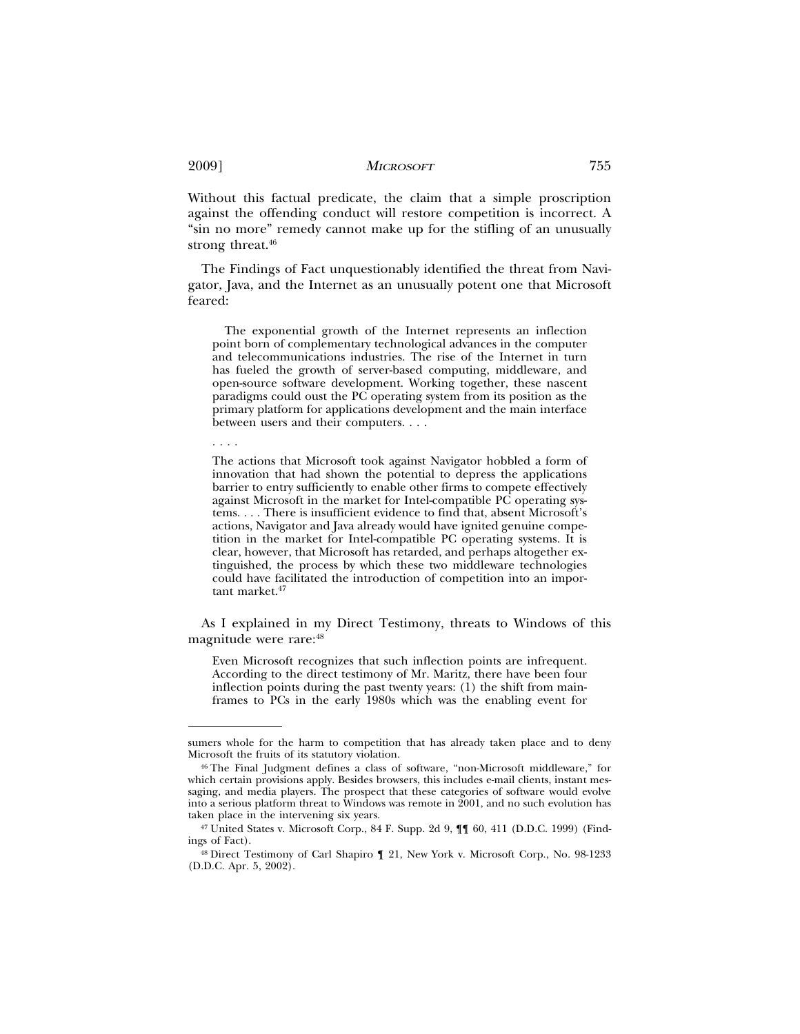Without this factual predicate, the claim that a simple proscription against the offending conduct will restore competition is incorrect. A "sin no more" remedy cannot make up for the stifling of an unusually strong threat.<sup>46</sup>

The Findings of Fact unquestionably identified the threat from Navigator, Java, and the Internet as an unusually potent one that Microsoft feared:

The exponential growth of the Internet represents an inflection point born of complementary technological advances in the computer and telecommunications industries. The rise of the Internet in turn has fueled the growth of server-based computing, middleware, and open-source software development. Working together, these nascent paradigms could oust the PC operating system from its position as the primary platform for applications development and the main interface between users and their computers. . . .

. . . .

The actions that Microsoft took against Navigator hobbled a form of innovation that had shown the potential to depress the applications barrier to entry sufficiently to enable other firms to compete effectively against Microsoft in the market for Intel-compatible PC operating systems. . . . There is insufficient evidence to find that, absent Microsoft's actions, Navigator and Java already would have ignited genuine competition in the market for Intel-compatible PC operating systems. It is clear, however, that Microsoft has retarded, and perhaps altogether extinguished, the process by which these two middleware technologies could have facilitated the introduction of competition into an important market.<sup>47</sup>

As I explained in my Direct Testimony, threats to Windows of this magnitude were rare:48

Even Microsoft recognizes that such inflection points are infrequent. According to the direct testimony of Mr. Maritz, there have been four inflection points during the past twenty years: (1) the shift from mainframes to PCs in the early 1980s which was the enabling event for

sumers whole for the harm to competition that has already taken place and to deny Microsoft the fruits of its statutory violation.

<sup>46</sup> The Final Judgment defines a class of software, "non-Microsoft middleware," for which certain provisions apply. Besides browsers, this includes e-mail clients, instant messaging, and media players. The prospect that these categories of software would evolve into a serious platform threat to Windows was remote in  $\overline{2}001$ , and no such evolution has taken place in the intervening six years.

<sup>47</sup> United States v. Microsoft Corp., 84 F. Supp. 2d 9, ¶¶ 60, 411 (D.D.C. 1999) (Findings of Fact).

<sup>48</sup> Direct Testimony of Carl Shapiro ¶ 21, New York v. Microsoft Corp., No. 98-1233 (D.D.C. Apr. 5, 2002).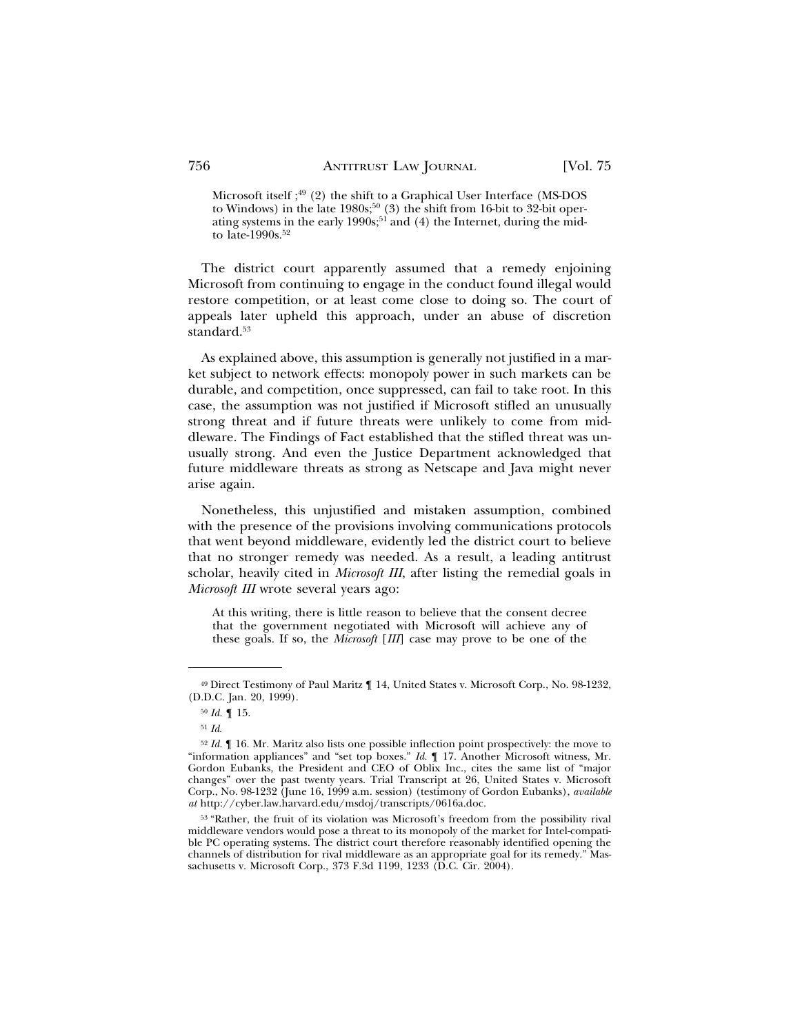Microsoft itself; $49$  (2) the shift to a Graphical User Interface (MS-DOS to Windows) in the late 1980s;<sup>50</sup> (3) the shift from 16-bit to 32-bit operating systems in the early 1990s;<sup>51</sup> and (4) the Internet, during the midto late-1990s.52

The district court apparently assumed that a remedy enjoining Microsoft from continuing to engage in the conduct found illegal would restore competition, or at least come close to doing so. The court of appeals later upheld this approach, under an abuse of discretion standard.<sup>53</sup>

As explained above, this assumption is generally not justified in a market subject to network effects: monopoly power in such markets can be durable, and competition, once suppressed, can fail to take root. In this case, the assumption was not justified if Microsoft stifled an unusually strong threat and if future threats were unlikely to come from middleware. The Findings of Fact established that the stifled threat was unusually strong. And even the Justice Department acknowledged that future middleware threats as strong as Netscape and Java might never arise again.

Nonetheless, this unjustified and mistaken assumption, combined with the presence of the provisions involving communications protocols that went beyond middleware, evidently led the district court to believe that no stronger remedy was needed. As a result, a leading antitrust scholar, heavily cited in *Microsoft III*, after listing the remedial goals in *Microsoft III* wrote several years ago:

At this writing, there is little reason to believe that the consent decree that the government negotiated with Microsoft will achieve any of these goals. If so, the *Microsoft* [*III*] case may prove to be one of the

<sup>49</sup> Direct Testimony of Paul Maritz ¶ 14, United States v. Microsoft Corp., No. 98-1232, (D.D.C. Jan. 20, 1999).

<sup>50</sup> *Id.* ¶ 15.

<sup>51</sup> *Id*.

<sup>52</sup> *Id.* ¶ 16. Mr. Maritz also lists one possible inflection point prospectively: the move to "information appliances" and "set top boxes." *Id.* ¶ 17. Another Microsoft witness, Mr. Gordon Eubanks, the President and CEO of Oblix Inc., cites the same list of "major changes" over the past twenty years. Trial Transcript at 26, United States v. Microsoft Corp., No. 98-1232 (June 16, 1999 a.m. session) (testimony of Gordon Eubanks), *available at* http://cyber.law.harvard.edu/msdoj/transcripts/0616a.doc.

<sup>53</sup> "Rather, the fruit of its violation was Microsoft's freedom from the possibility rival middleware vendors would pose a threat to its monopoly of the market for Intel-compatible PC operating systems. The district court therefore reasonably identified opening the channels of distribution for rival middleware as an appropriate goal for its remedy." Massachusetts v. Microsoft Corp., 373 F.3d 1199, 1233 (D.C. Cir. 2004).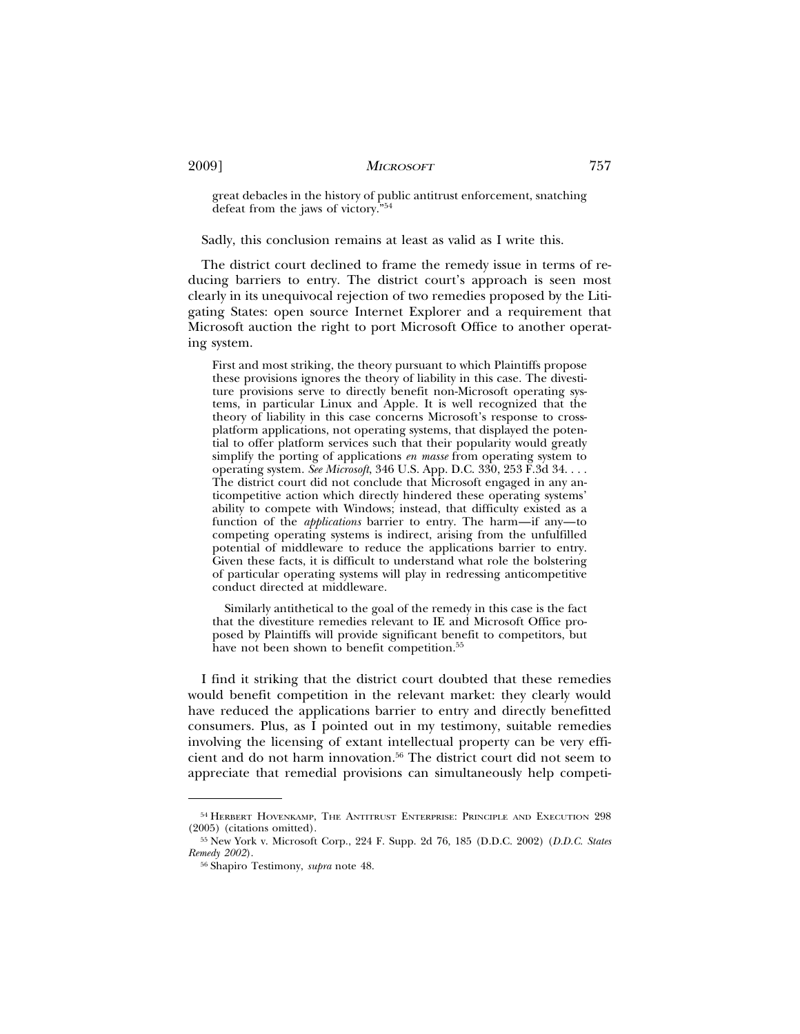great debacles in the history of public antitrust enforcement, snatching defeat from the jaws of victory."54

Sadly, this conclusion remains at least as valid as I write this.

The district court declined to frame the remedy issue in terms of reducing barriers to entry. The district court's approach is seen most clearly in its unequivocal rejection of two remedies proposed by the Litigating States: open source Internet Explorer and a requirement that Microsoft auction the right to port Microsoft Office to another operating system.

First and most striking, the theory pursuant to which Plaintiffs propose these provisions ignores the theory of liability in this case. The divestiture provisions serve to directly benefit non-Microsoft operating systems, in particular Linux and Apple. It is well recognized that the theory of liability in this case concerns Microsoft's response to crossplatform applications, not operating systems, that displayed the potential to offer platform services such that their popularity would greatly simplify the porting of applications *en masse* from operating system to operating system. *See Microsoft*, 346 U.S. App. D.C. 330, 253 F.3d 34. . . . The district court did not conclude that Microsoft engaged in any anticompetitive action which directly hindered these operating systems' ability to compete with Windows; instead, that difficulty existed as a function of the *applications* barrier to entry. The harm—if any—to competing operating systems is indirect, arising from the unfulfilled potential of middleware to reduce the applications barrier to entry. Given these facts, it is difficult to understand what role the bolstering of particular operating systems will play in redressing anticompetitive conduct directed at middleware.

Similarly antithetical to the goal of the remedy in this case is the fact that the divestiture remedies relevant to IE and Microsoft Office proposed by Plaintiffs will provide significant benefit to competitors, but have not been shown to benefit competition.<sup>55</sup>

I find it striking that the district court doubted that these remedies would benefit competition in the relevant market: they clearly would have reduced the applications barrier to entry and directly benefitted consumers. Plus, as I pointed out in my testimony, suitable remedies involving the licensing of extant intellectual property can be very efficient and do not harm innovation.56 The district court did not seem to appreciate that remedial provisions can simultaneously help competi-

<sup>54</sup> HERBERT HOVENKAMP, THE ANTITRUST ENTERPRISE: PRINCIPLE AND EXECUTION 298 (2005) (citations omitted).

<sup>55</sup> New York v. Microsoft Corp., 224 F. Supp. 2d 76, 185 (D.D.C. 2002) (*D.D.C. States Remedy 2002*).

<sup>56</sup> Shapiro Testimony, *supra* note 48.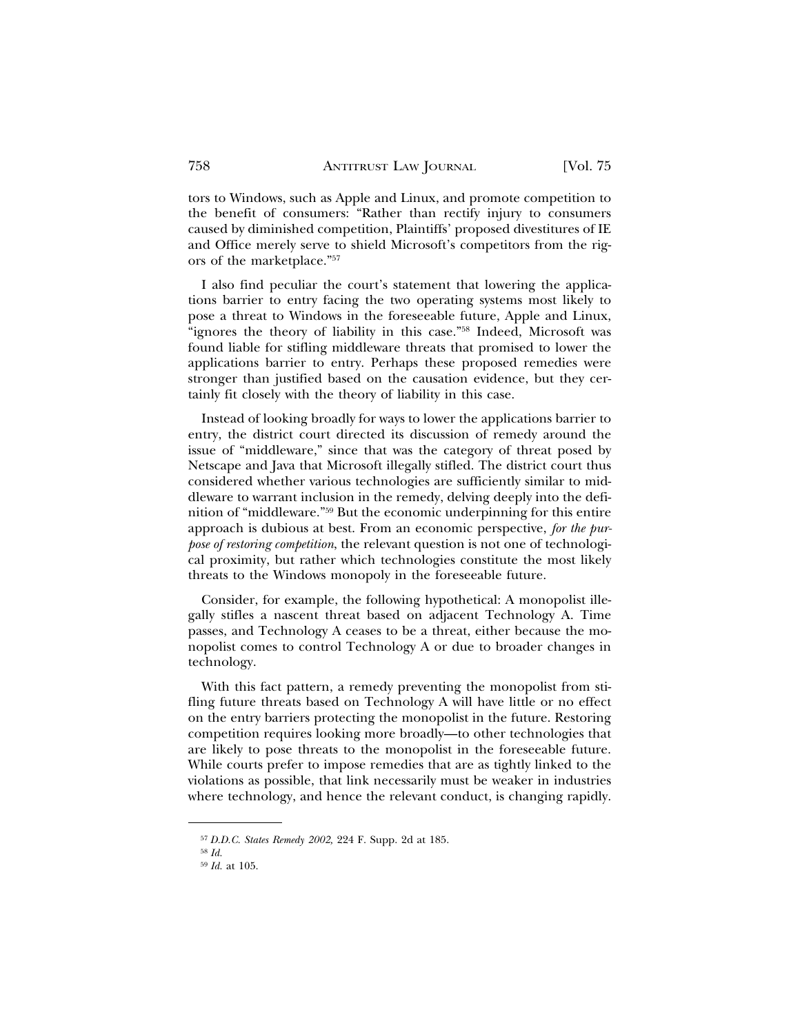tors to Windows, such as Apple and Linux, and promote competition to the benefit of consumers: "Rather than rectify injury to consumers caused by diminished competition, Plaintiffs' proposed divestitures of IE and Office merely serve to shield Microsoft's competitors from the rigors of the marketplace."57

I also find peculiar the court's statement that lowering the applications barrier to entry facing the two operating systems most likely to pose a threat to Windows in the foreseeable future, Apple and Linux, "ignores the theory of liability in this case."58 Indeed, Microsoft was found liable for stifling middleware threats that promised to lower the applications barrier to entry. Perhaps these proposed remedies were stronger than justified based on the causation evidence, but they certainly fit closely with the theory of liability in this case.

Instead of looking broadly for ways to lower the applications barrier to entry, the district court directed its discussion of remedy around the issue of "middleware," since that was the category of threat posed by Netscape and Java that Microsoft illegally stifled. The district court thus considered whether various technologies are sufficiently similar to middleware to warrant inclusion in the remedy, delving deeply into the definition of "middleware."59 But the economic underpinning for this entire approach is dubious at best. From an economic perspective, *for the purpose of restoring competition*, the relevant question is not one of technological proximity, but rather which technologies constitute the most likely threats to the Windows monopoly in the foreseeable future.

Consider, for example, the following hypothetical: A monopolist illegally stifles a nascent threat based on adjacent Technology A. Time passes, and Technology A ceases to be a threat, either because the monopolist comes to control Technology A or due to broader changes in technology.

With this fact pattern, a remedy preventing the monopolist from stifling future threats based on Technology A will have little or no effect on the entry barriers protecting the monopolist in the future. Restoring competition requires looking more broadly—to other technologies that are likely to pose threats to the monopolist in the foreseeable future. While courts prefer to impose remedies that are as tightly linked to the violations as possible, that link necessarily must be weaker in industries where technology, and hence the relevant conduct, is changing rapidly.

<sup>57</sup> *D.D.C. States Remedy 2002,* 224 F. Supp. 2d at 185.

<sup>58</sup> *Id.*

<sup>59</sup> *Id.* at 105.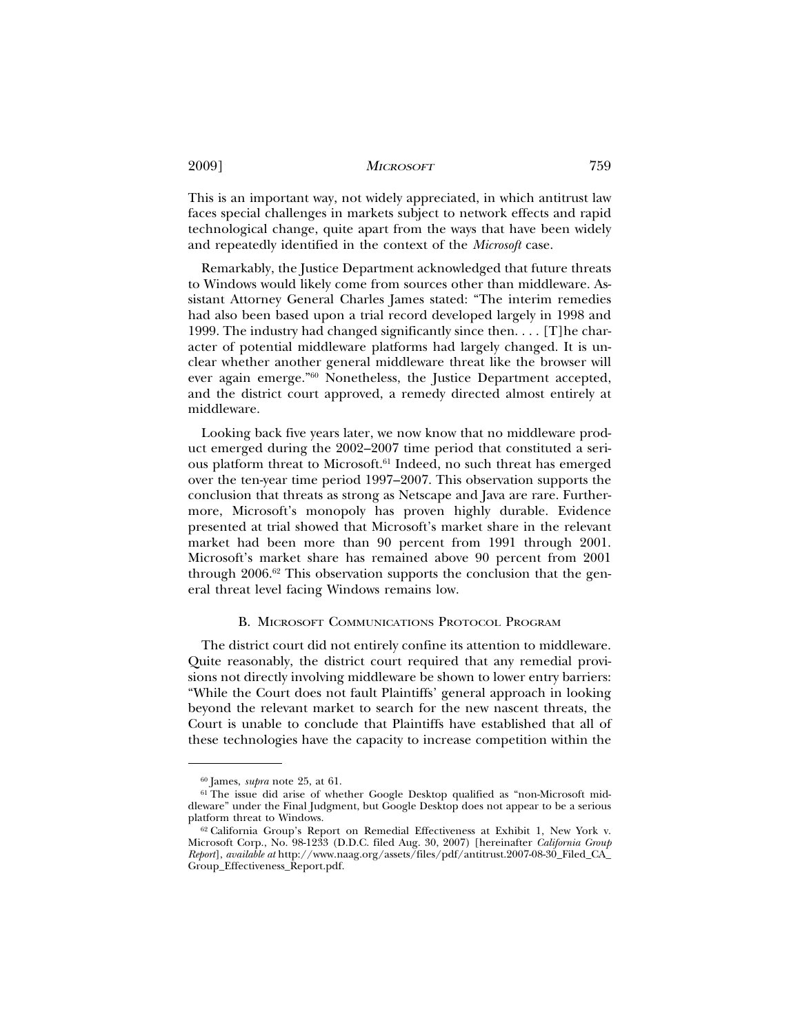This is an important way, not widely appreciated, in which antitrust law faces special challenges in markets subject to network effects and rapid technological change, quite apart from the ways that have been widely and repeatedly identified in the context of the *Microsoft* case.

Remarkably, the Justice Department acknowledged that future threats to Windows would likely come from sources other than middleware. Assistant Attorney General Charles James stated: "The interim remedies had also been based upon a trial record developed largely in 1998 and 1999. The industry had changed significantly since then. . . . [T]he character of potential middleware platforms had largely changed. It is unclear whether another general middleware threat like the browser will ever again emerge."60 Nonetheless, the Justice Department accepted, and the district court approved, a remedy directed almost entirely at middleware.

Looking back five years later, we now know that no middleware product emerged during the 2002–2007 time period that constituted a serious platform threat to Microsoft.<sup>61</sup> Indeed, no such threat has emerged over the ten-year time period 1997–2007. This observation supports the conclusion that threats as strong as Netscape and Java are rare. Furthermore, Microsoft's monopoly has proven highly durable. Evidence presented at trial showed that Microsoft's market share in the relevant market had been more than 90 percent from 1991 through 2001. Microsoft's market share has remained above 90 percent from 2001 through 2006.62 This observation supports the conclusion that the general threat level facing Windows remains low.

### B. MICROSOFT COMMUNICATIONS PROTOCOL PROGRAM

The district court did not entirely confine its attention to middleware. Quite reasonably, the district court required that any remedial provisions not directly involving middleware be shown to lower entry barriers: "While the Court does not fault Plaintiffs' general approach in looking beyond the relevant market to search for the new nascent threats, the Court is unable to conclude that Plaintiffs have established that all of these technologies have the capacity to increase competition within the

<sup>60</sup> James, *supra* note 25, at 61.

<sup>61</sup> The issue did arise of whether Google Desktop qualified as "non-Microsoft middleware" under the Final Judgment, but Google Desktop does not appear to be a serious platform threat to Windows.

<sup>62</sup> California Group's Report on Remedial Effectiveness at Exhibit 1, New York v. Microsoft Corp., No. 98-1233 (D.D.C. filed Aug. 30, 2007) [hereinafter *California Group Report*], *available at* http://www.naag.org/assets/files/pdf/antitrust.2007-08-30\_Filed\_CA\_ Group\_Effectiveness\_Report.pdf.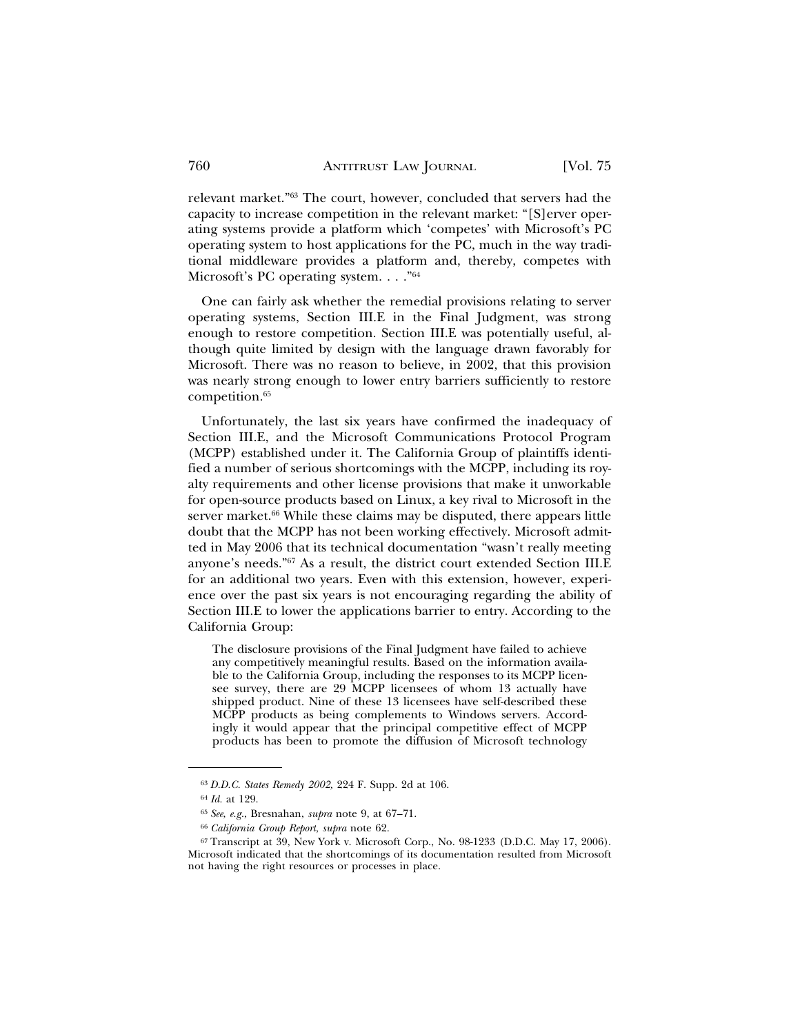relevant market."63 The court, however, concluded that servers had the capacity to increase competition in the relevant market: "[S]erver operating systems provide a platform which 'competes' with Microsoft's PC operating system to host applications for the PC, much in the way traditional middleware provides a platform and, thereby, competes with Microsoft's PC operating system. . . ."64

One can fairly ask whether the remedial provisions relating to server operating systems, Section III.E in the Final Judgment, was strong enough to restore competition. Section III.E was potentially useful, although quite limited by design with the language drawn favorably for Microsoft. There was no reason to believe, in 2002, that this provision was nearly strong enough to lower entry barriers sufficiently to restore competition.65

Unfortunately, the last six years have confirmed the inadequacy of Section III.E, and the Microsoft Communications Protocol Program (MCPP) established under it. The California Group of plaintiffs identified a number of serious shortcomings with the MCPP, including its royalty requirements and other license provisions that make it unworkable for open-source products based on Linux, a key rival to Microsoft in the server market.<sup>66</sup> While these claims may be disputed, there appears little doubt that the MCPP has not been working effectively. Microsoft admitted in May 2006 that its technical documentation "wasn't really meeting anyone's needs."67 As a result, the district court extended Section III.E for an additional two years. Even with this extension, however, experience over the past six years is not encouraging regarding the ability of Section III.E to lower the applications barrier to entry. According to the California Group:

The disclosure provisions of the Final Judgment have failed to achieve any competitively meaningful results. Based on the information available to the California Group, including the responses to its MCPP licensee survey, there are 29 MCPP licensees of whom 13 actually have shipped product. Nine of these 13 licensees have self-described these MCPP products as being complements to Windows servers. Accordingly it would appear that the principal competitive effect of MCPP products has been to promote the diffusion of Microsoft technology

<sup>63</sup> *D.D.C. States Remedy 2002,* 224 F. Supp. 2d at 106.

<sup>64</sup> *Id.* at 129.

<sup>65</sup> *See*, *e.g.*, Bresnahan, *supra* note 9, at 67–71.

<sup>66</sup> *California Group Report*, *supra* note 62.

<sup>67</sup> Transcript at 39, New York v. Microsoft Corp., No. 98-1233 (D.D.C. May 17, 2006). Microsoft indicated that the shortcomings of its documentation resulted from Microsoft not having the right resources or processes in place.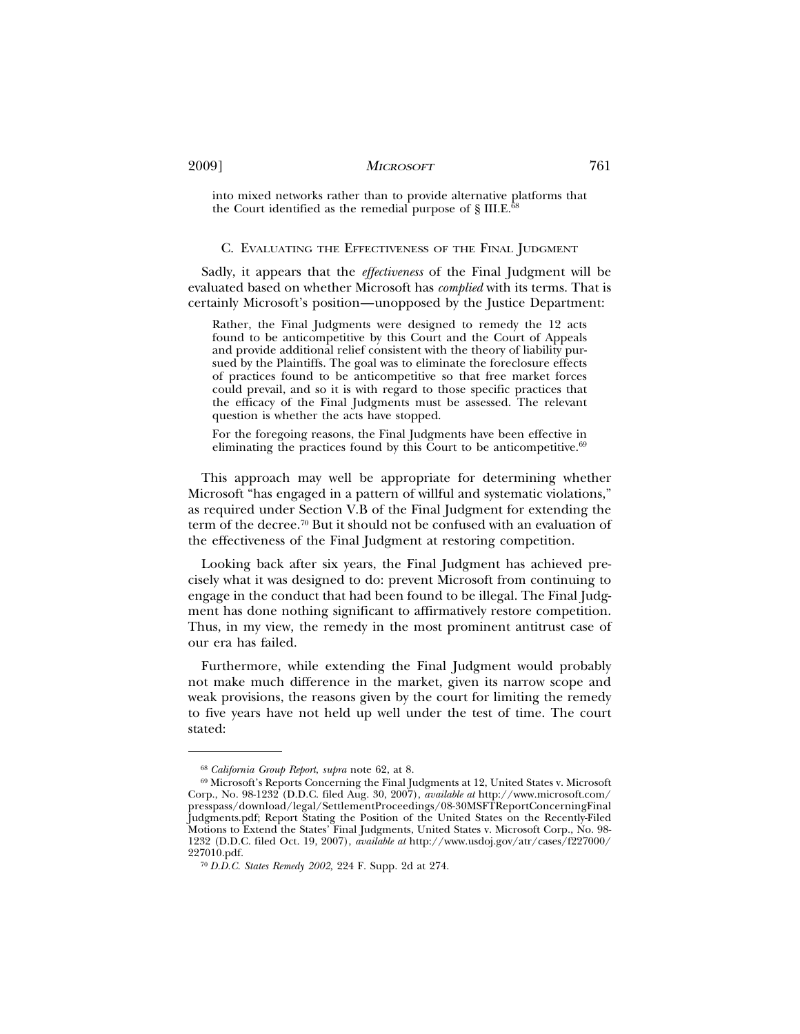into mixed networks rather than to provide alternative platforms that the Court identified as the remedial purpose of  $\S$  III.E.<sup>68</sup>

#### C. EVALUATING THE EFFECTIVENESS OF THE FINAL JUDGMENT

Sadly, it appears that the *effectiveness* of the Final Judgment will be evaluated based on whether Microsoft has *complied* with its terms. That is certainly Microsoft's position—unopposed by the Justice Department:

Rather, the Final Judgments were designed to remedy the 12 acts found to be anticompetitive by this Court and the Court of Appeals and provide additional relief consistent with the theory of liability pursued by the Plaintiffs. The goal was to eliminate the foreclosure effects of practices found to be anticompetitive so that free market forces could prevail, and so it is with regard to those specific practices that the efficacy of the Final Judgments must be assessed. The relevant question is whether the acts have stopped.

For the foregoing reasons, the Final Judgments have been effective in eliminating the practices found by this Court to be anticompetitive. $69$ 

This approach may well be appropriate for determining whether Microsoft "has engaged in a pattern of willful and systematic violations," as required under Section V.B of the Final Judgment for extending the term of the decree.70 But it should not be confused with an evaluation of the effectiveness of the Final Judgment at restoring competition.

Looking back after six years, the Final Judgment has achieved precisely what it was designed to do: prevent Microsoft from continuing to engage in the conduct that had been found to be illegal. The Final Judgment has done nothing significant to affirmatively restore competition. Thus, in my view, the remedy in the most prominent antitrust case of our era has failed.

Furthermore, while extending the Final Judgment would probably not make much difference in the market, given its narrow scope and weak provisions, the reasons given by the court for limiting the remedy to five years have not held up well under the test of time. The court stated:

<sup>68</sup> *California Group Report*, *supra* note 62, at 8.

<sup>69</sup> Microsoft's Reports Concerning the Final Judgments at 12, United States v. Microsoft Corp., No. 98-1232 (D.D.C. filed Aug. 30, 2007), *available at* http://www.microsoft.com/ presspass/download/legal/SettlementProceedings/08-30MSFTReportConcerningFinal Judgments.pdf; Report Stating the Position of the United States on the Recently-Filed Motions to Extend the States' Final Judgments, United States v. Microsoft Corp., No. 98- 1232 (D.D.C. filed Oct. 19, 2007), *available at* http://www.usdoj.gov/atr/cases/f227000/ 227010.pdf.

<sup>70</sup> *D.D.C. States Remedy 2002,* 224 F. Supp. 2d at 274.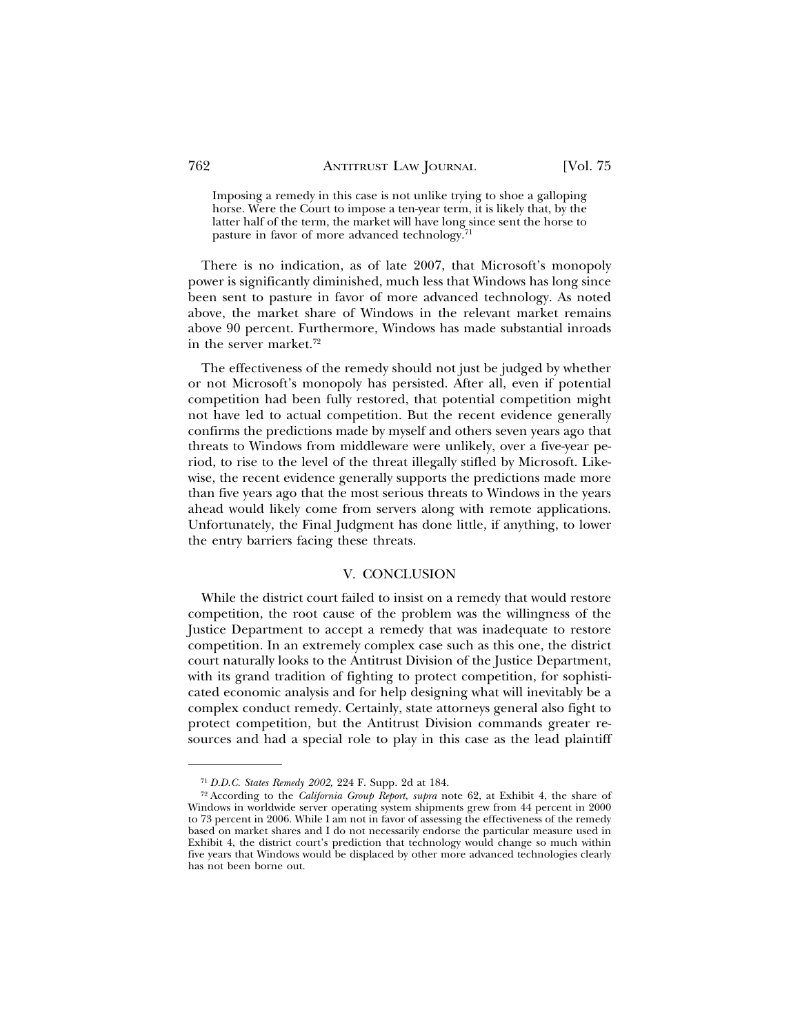Imposing a remedy in this case is not unlike trying to shoe a galloping horse. Were the Court to impose a ten-year term, it is likely that, by the latter half of the term, the market will have long since sent the horse to pasture in favor of more advanced technology.<sup>71</sup>

There is no indication, as of late 2007, that Microsoft's monopoly power is significantly diminished, much less that Windows has long since been sent to pasture in favor of more advanced technology. As noted above, the market share of Windows in the relevant market remains above 90 percent. Furthermore, Windows has made substantial inroads in the server market.72

The effectiveness of the remedy should not just be judged by whether or not Microsoft's monopoly has persisted. After all, even if potential competition had been fully restored, that potential competition might not have led to actual competition. But the recent evidence generally confirms the predictions made by myself and others seven years ago that threats to Windows from middleware were unlikely, over a five-year period, to rise to the level of the threat illegally stifled by Microsoft. Likewise, the recent evidence generally supports the predictions made more than five years ago that the most serious threats to Windows in the years ahead would likely come from servers along with remote applications. Unfortunately, the Final Judgment has done little, if anything, to lower the entry barriers facing these threats.

## V. CONCLUSION

While the district court failed to insist on a remedy that would restore competition, the root cause of the problem was the willingness of the Justice Department to accept a remedy that was inadequate to restore competition. In an extremely complex case such as this one, the district court naturally looks to the Antitrust Division of the Justice Department, with its grand tradition of fighting to protect competition, for sophisticated economic analysis and for help designing what will inevitably be a complex conduct remedy. Certainly, state attorneys general also fight to protect competition, but the Antitrust Division commands greater resources and had a special role to play in this case as the lead plaintiff

<sup>71</sup> *D.D.C. States Remedy 2002,* 224 F. Supp. 2d at 184.

<sup>72</sup> According to the *California Group Report*, *supra* note 62, at Exhibit 4, the share of Windows in worldwide server operating system shipments grew from 44 percent in 2000 to 73 percent in 2006. While I am not in favor of assessing the effectiveness of the remedy based on market shares and I do not necessarily endorse the particular measure used in Exhibit 4, the district court's prediction that technology would change so much within five years that Windows would be displaced by other more advanced technologies clearly has not been borne out.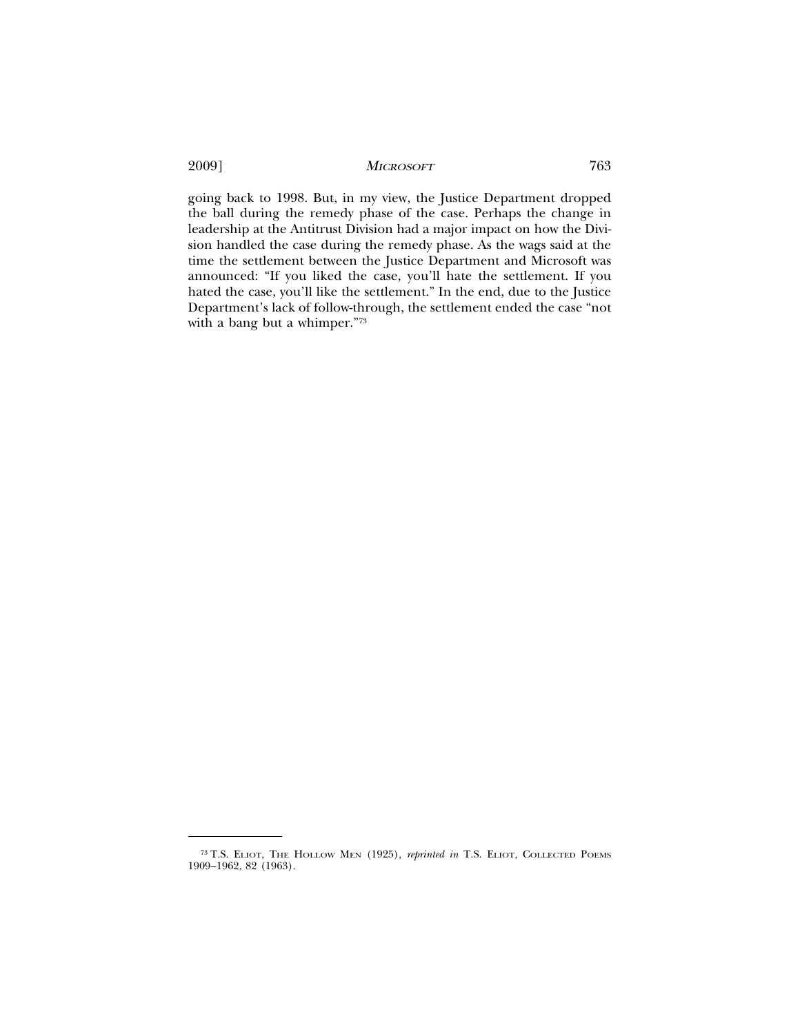going back to 1998. But, in my view, the Justice Department dropped the ball during the remedy phase of the case. Perhaps the change in leadership at the Antitrust Division had a major impact on how the Division handled the case during the remedy phase. As the wags said at the time the settlement between the Justice Department and Microsoft was announced: "If you liked the case, you'll hate the settlement. If you hated the case, you'll like the settlement." In the end, due to the Justice Department's lack of follow-through, the settlement ended the case "not with a bang but a whimper."73

<sup>73</sup> T.S. ELIOT, THE HOLLOW MEN (1925), *reprinted in* T.S. ELIOT, COLLECTED POEMS 1909–1962, 82 (1963).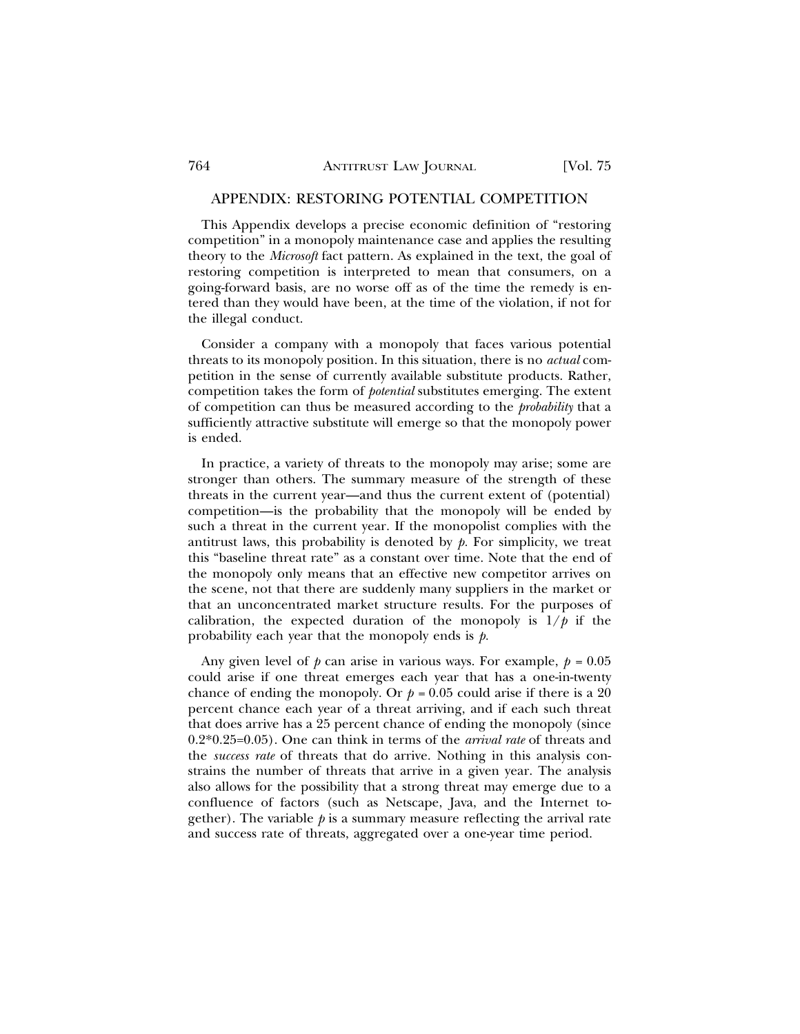#### APPENDIX: RESTORING POTENTIAL COMPETITION

This Appendix develops a precise economic definition of "restoring competition" in a monopoly maintenance case and applies the resulting theory to the *Microsoft* fact pattern. As explained in the text, the goal of restoring competition is interpreted to mean that consumers, on a going-forward basis, are no worse off as of the time the remedy is entered than they would have been, at the time of the violation, if not for the illegal conduct.

Consider a company with a monopoly that faces various potential threats to its monopoly position. In this situation, there is no *actual* competition in the sense of currently available substitute products. Rather, competition takes the form of *potential* substitutes emerging. The extent of competition can thus be measured according to the *probability* that a sufficiently attractive substitute will emerge so that the monopoly power is ended.

In practice, a variety of threats to the monopoly may arise; some are stronger than others. The summary measure of the strength of these threats in the current year—and thus the current extent of (potential) competition—is the probability that the monopoly will be ended by such a threat in the current year. If the monopolist complies with the antitrust laws, this probability is denoted by  $p$ . For simplicity, we treat this "baseline threat rate" as a constant over time. Note that the end of the monopoly only means that an effective new competitor arrives on the scene, not that there are suddenly many suppliers in the market or that an unconcentrated market structure results. For the purposes of calibration, the expected duration of the monopoly is  $1/p$  if the probability each year that the monopoly ends is *p.*

Any given level of  $p$  can arise in various ways. For example,  $p = 0.05$ could arise if one threat emerges each year that has a one-in-twenty chance of ending the monopoly. Or  $p = 0.05$  could arise if there is a 20 percent chance each year of a threat arriving, and if each such threat that does arrive has a 25 percent chance of ending the monopoly (since 0.2\*0.25=0.05). One can think in terms of the *arrival rate* of threats and the *success rate* of threats that do arrive. Nothing in this analysis constrains the number of threats that arrive in a given year. The analysis also allows for the possibility that a strong threat may emerge due to a confluence of factors (such as Netscape, Java, and the Internet together). The variable  $p$  is a summary measure reflecting the arrival rate and success rate of threats, aggregated over a one-year time period.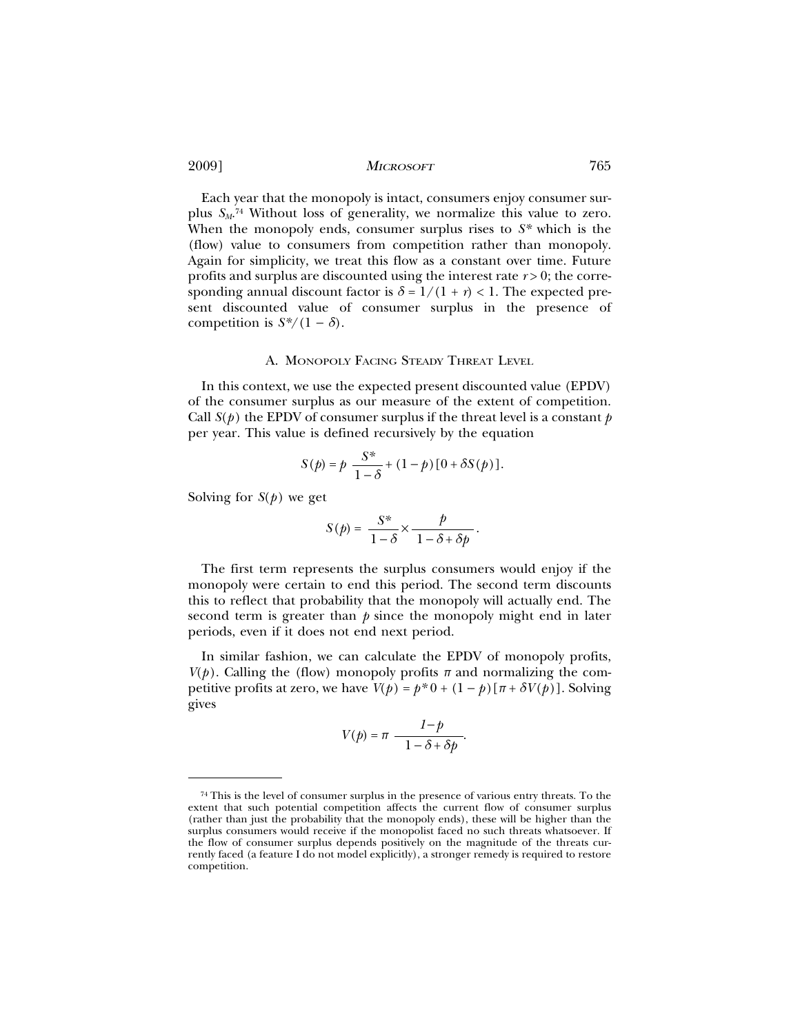Each year that the monopoly is intact, consumers enjoy consumer surplus *SM*. 74 Without loss of generality, we normalize this value to zero. When the monopoly ends, consumer surplus rises to *S\** which is the (flow) value to consumers from competition rather than monopoly. Again for simplicity, we treat this flow as a constant over time. Future profits and surplus are discounted using the interest rate *r* > 0; the corresponding annual discount factor is  $\delta = 1/(1 + r) < 1$ . The expected present discounted value of consumer surplus in the presence of competition is  $S^*/(1 - \delta)$ .

#### A. MONOPOLY FACING STEADY THREAT LEVEL

In this context, we use the expected present discounted value (EPDV) of the consumer surplus as our measure of the extent of competition. Call  $S(p)$  the EPDV of consumer surplus if the threat level is a constant  $p$ per year. This value is defined recursively by the equation

$$
S(p) = p \frac{S^*}{1 - \delta} + (1 - p) [0 + \delta S(p)].
$$

Solving for  $S(p)$  we get

$$
S(p) = \frac{S^*}{1-\delta} \times \frac{p}{1-\delta + \delta p}.
$$

The first term represents the surplus consumers would enjoy if the monopoly were certain to end this period. The second term discounts this to reflect that probability that the monopoly will actually end. The second term is greater than *p* since the monopoly might end in later periods, even if it does not end next period.

In similar fashion, we can calculate the EPDV of monopoly profits,  $V(p)$ . Calling the (flow) monopoly profits  $\pi$  and normalizing the competitive profits at zero, we have  $V(p) = p^*0 + (1 - p)[\pi + \delta V(p)]$ . Solving gives

$$
V(p) = \pi \frac{1-p}{1-\delta + \delta p}.
$$

<sup>74</sup> This is the level of consumer surplus in the presence of various entry threats. To the extent that such potential competition affects the current flow of consumer surplus (rather than just the probability that the monopoly ends), these will be higher than the surplus consumers would receive if the monopolist faced no such threats whatsoever. If the flow of consumer surplus depends positively on the magnitude of the threats currently faced (a feature I do not model explicitly), a stronger remedy is required to restore competition.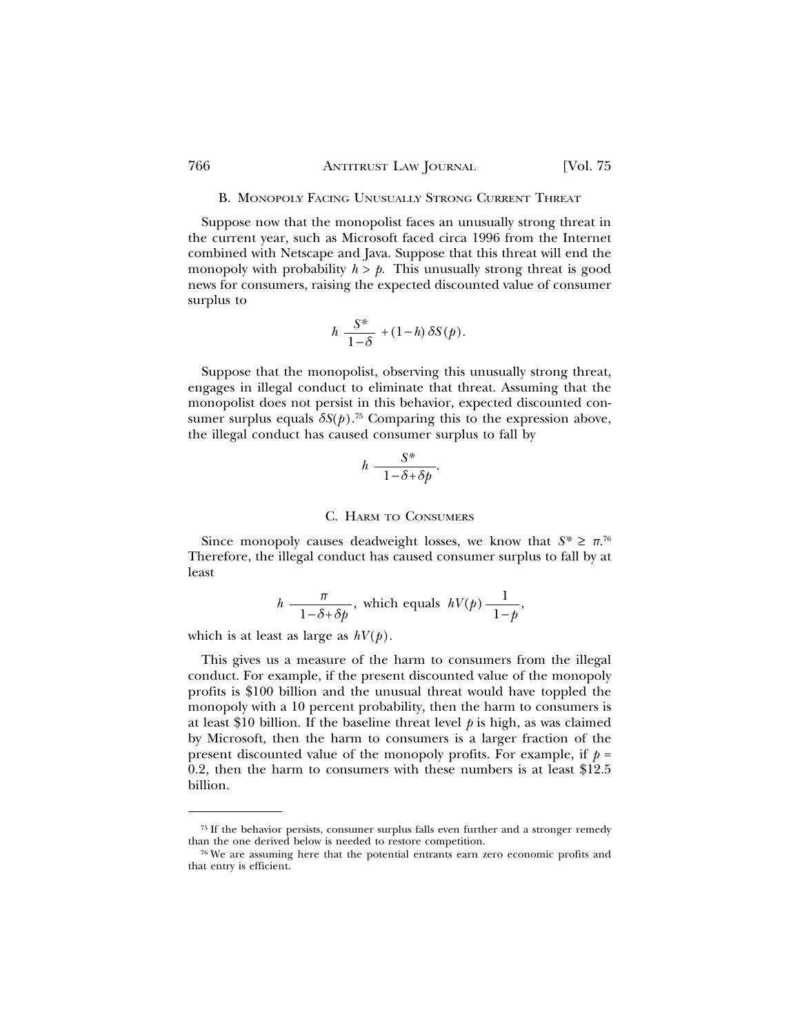## 766 ANTITRUST LAW JOURNAL [Vol. 75

#### B. MONOPOLY FACING UNUSUALLY STRONG CURRENT THREAT

Suppose now that the monopolist faces an unusually strong threat in the current year, such as Microsoft faced circa 1996 from the Internet combined with Netscape and Java. Suppose that this threat will end the monopoly with probability  $h > p$ . This unusually strong threat is good news for consumers, raising the expected discounted value of consumer surplus to

$$
h \frac{S^*}{1-\delta} + (1-h) \, \delta S(p).
$$

Suppose that the monopolist, observing this unusually strong threat, engages in illegal conduct to eliminate that threat. Assuming that the monopolist does not persist in this behavior, expected discounted consumer surplus equals  $\delta S(p)$ .<sup>75</sup> Comparing this to the expression above, the illegal conduct has caused consumer surplus to fall by

$$
h \frac{S^*}{1 - \delta + \delta p}.
$$

#### C. HARM TO CONSUMERS

Since monopoly causes deadweight losses, we know that  $S^* \geq \pi^{76}$ Therefore, the illegal conduct has caused consumer surplus to fall by at least

$$
h \frac{\pi}{1 - \delta + \delta p}
$$
, which equals  $hV(p) \frac{1}{1 - p}$ ,

which is at least as large as *hV*(*p*).

This gives us a measure of the harm to consumers from the illegal conduct. For example, if the present discounted value of the monopoly profits is \$100 billion and the unusual threat would have toppled the monopoly with a 10 percent probability, then the harm to consumers is at least \$10 billion. If the baseline threat level *p* is high, as was claimed by Microsoft, then the harm to consumers is a larger fraction of the present discounted value of the monopoly profits. For example, if  $p =$ 0.2, then the harm to consumers with these numbers is at least \$12.5 billion.

<sup>75</sup> If the behavior persists, consumer surplus falls even further and a stronger remedy than the one derived below is needed to restore competition.

<sup>76</sup> We are assuming here that the potential entrants earn zero economic profits and that entry is efficient.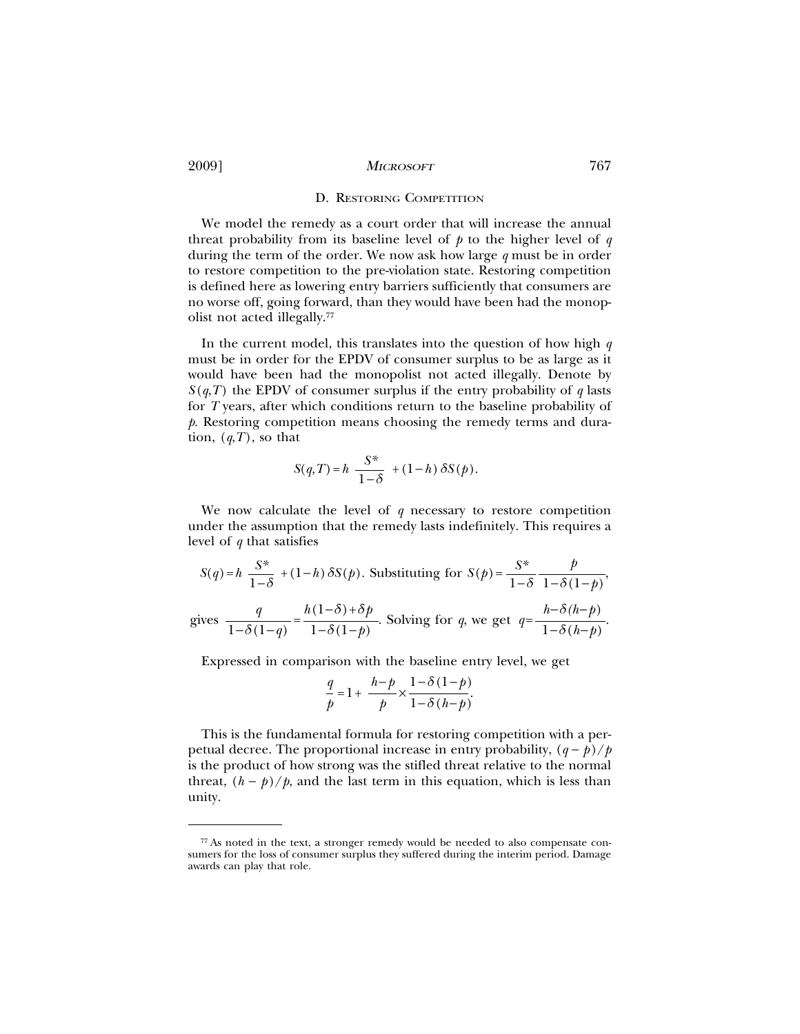## D. RESTORING COMPETITION

We model the remedy as a court order that will increase the annual threat probability from its baseline level of *p* to the higher level of *q* during the term of the order. We now ask how large *q* must be in order to restore competition to the pre-violation state. Restoring competition is defined here as lowering entry barriers sufficiently that consumers are no worse off, going forward, than they would have been had the monopolist not acted illegally.77

In the current model, this translates into the question of how high *q* must be in order for the EPDV of consumer surplus to be as large as it would have been had the monopolist not acted illegally. Denote by  $S(q,T)$  the EPDV of consumer surplus if the entry probability of *q* lasts for *T* years, after which conditions return to the baseline probability of *p*. Restoring competition means choosing the remedy terms and duration,  $(q, T)$ , so that

$$
S(q,T) = h \frac{S^*}{1-\delta} + (1-h) \delta S(p).
$$

We now calculate the level of  $q$  necessary to restore competition under the assumption that the remedy lasts indefinitely. This requires a level of *q* that satisfies

$$
S(q) = h \frac{S^*}{1 - \delta} + (1 - h) \delta S(p).
$$
 Substituting for  $S(p) = \frac{S^*}{1 - \delta} \frac{p}{1 - \delta(1 - p)},$   
gives  $\frac{q}{1 - \delta(1 - q)} = \frac{h(1 - \delta) + \delta p}{1 - \delta(1 - p)}.$  Solving for  $q$ , we get  $q = \frac{h - \delta(h - p)}{1 - \delta(h - p)}.$ 

Expressed in comparison with the baseline entry level, we get

$$
\frac{q}{p} = 1 + \frac{h-p}{p} \times \frac{1-\delta(1-p)}{1-\delta(h-p)}.
$$

This is the fundamental formula for restoring competition with a perpetual decree. The proportional increase in entry probability,  $(q - p)/p$ is the product of how strong was the stifled threat relative to the normal threat,  $(h - p)/p$ , and the last term in this equation, which is less than unity.

<sup>77</sup> As noted in the text, a stronger remedy would be needed to also compensate consumers for the loss of consumer surplus they suffered during the interim period. Damage awards can play that role.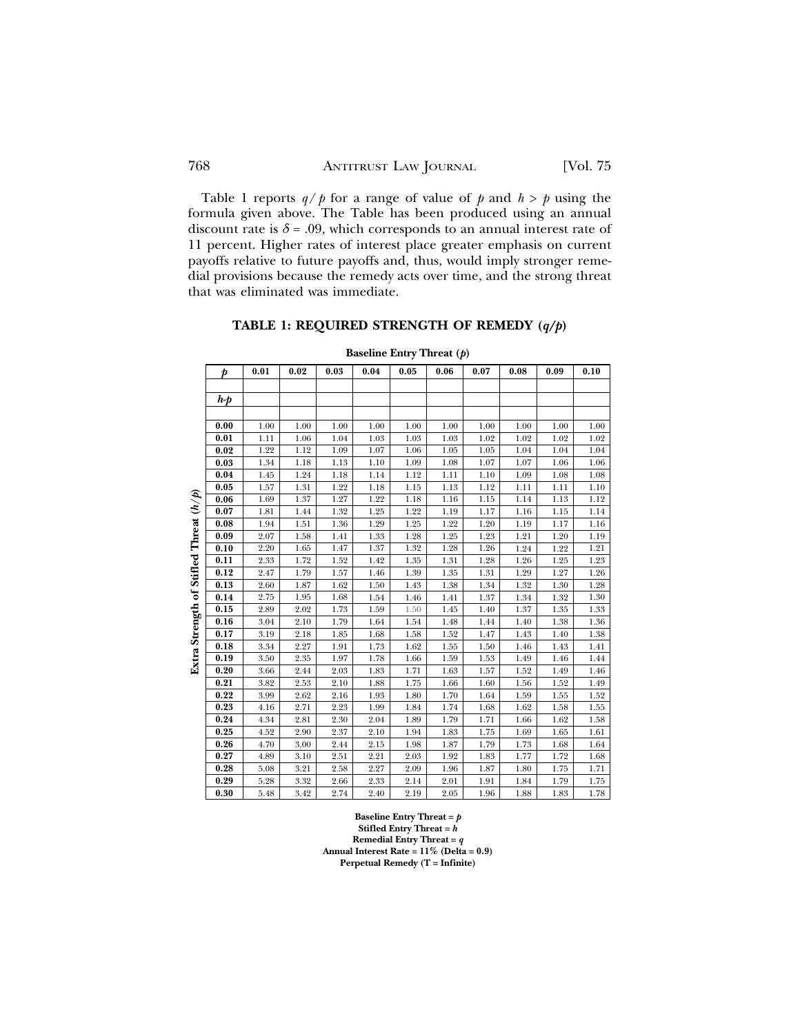Table 1 reports  $q/p$  for a range of value of p and  $h > p$  using the formula given above. The Table has been produced using an annual discount rate is  $\delta$  = .09, which corresponds to an annual interest rate of 11 percent. Higher rates of interest place greater emphasis on current payoffs relative to future payoffs and, thus, would imply stronger remedial provisions because the remedy acts over time, and the strong threat that was eliminated was immediate.

# **TABLE 1: REQUIRED STRENGTH OF REMEDY (***q/p***)**

|                         | þ     | 0.01 | 0.02 | 0.03 | 0.04 | 0.05 | 0.06 | 0.07 | 0.08 | 0.09 | 0.10 |
|-------------------------|-------|------|------|------|------|------|------|------|------|------|------|
|                         |       |      |      |      |      |      |      |      |      |      |      |
|                         | $h-p$ |      |      |      |      |      |      |      |      |      |      |
|                         |       |      |      |      |      |      |      |      |      |      |      |
|                         | 0.00  | 1.00 | 1.00 | 1.00 | 1.00 | 1.00 | 1.00 | 1.00 | 1.00 | 1.00 | 1.00 |
|                         | 0.01  | 1.11 | 1.06 | 1.04 | 1.03 | 1.03 | 1.03 | 1.02 | 1.02 | 1.02 | 1.02 |
|                         | 0.02  | 1.22 | 1.12 | 1.09 | 1.07 | 1.06 | 1.05 | 1.05 | 1.04 | 1.04 | 1.04 |
|                         | 0.03  | 1.34 | 1.18 | 1.13 | 1.10 | 1.09 | 1.08 | 1.07 | 1.07 | 1.06 | 1.06 |
|                         | 0.04  | 1.45 | 1.24 | 1.18 | 1.14 | 1.12 | 1.11 | 1.10 | 1.09 | 1.08 | 1.08 |
|                         | 0.05  | 1.57 | 1.31 | 1.22 | 1.18 | 1.15 | 1.13 | 1.12 | 1.11 | 1.11 | 1.10 |
| $\mathfrak{F}$          | 0.06  | 1.69 | 1.37 | 1.27 | 1.22 | 1.18 | 1.16 | 1.15 | 1.14 | 1.13 | 1.12 |
|                         | 0.07  | 1.81 | 1.44 | 1.32 | 1.25 | 1.22 | 1.19 | 1.17 | 1.16 | 1.15 | 1.14 |
|                         | 0.08  | 1.94 | 1.51 | 1.36 | 1.29 | 1.25 | 1.22 | 1.20 | 1.19 | 1.17 | 1.16 |
|                         | 0.09  | 2.07 | 1.58 | 1.41 | 1.33 | 1.28 | 1.25 | 1.23 | 1.21 | 1.20 | 1.19 |
| of Stifled Threat $(h/$ | 0.10  | 2.20 | 1.65 | 1.47 | 1.37 | 1.32 | 1.28 | 1.26 | 1.24 | 1.22 | 1.21 |
|                         | 0.11  | 2.33 | 1.72 | 1.52 | 1.42 | 1.35 | 1.31 | 1.28 | 1.26 | 1.25 | 1.23 |
|                         | 0.12  | 2.47 | 1.79 | 1.57 | 1.46 | 1.39 | 1.35 | 1.31 | 1.29 | 1.27 | 1.26 |
|                         | 0.13  | 2.60 | 1.87 | 1.62 | 1.50 | 1.43 | 1.38 | 1.34 | 1.32 | 1.30 | 1.28 |
|                         | 0.14  | 2.75 | 1.95 | 1.68 | 1.54 | 1.46 | 1.41 | 1.37 | 1.34 | 1.32 | 1.30 |
|                         | 0.15  | 2.89 | 2.02 | 1.73 | 1.59 | 1.50 | 1.45 | 1.40 | 1.37 | 1.35 | 1.33 |
| Extra Strength          | 0.16  | 3.04 | 2.10 | 1.79 | 1.64 | 1.54 | 1.48 | 1.44 | 1.40 | 1.38 | 1.36 |
|                         | 0.17  | 3.19 | 2.18 | 1.85 | 1.68 | 1.58 | 1.52 | 1.47 | 1.43 | 1.40 | 1.38 |
|                         | 0.18  | 3.34 | 2.27 | 1.91 | 1.73 | 1.62 | 1.55 | 1.50 | 1.46 | 1.43 | 1.41 |
|                         | 0.19  | 3.50 | 2.35 | 1.97 | 1.78 | 1.66 | 1.59 | 1.53 | 1.49 | 1.46 | 1.44 |
|                         | 0.20  | 3.66 | 2.44 | 2.03 | 1.83 | 1.71 | 1.63 | 1.57 | 1.52 | 1.49 | 1.46 |
|                         | 0.21  | 3.82 | 2.53 | 2.10 | 1.88 | 1.75 | 1.66 | 1.60 | 1.56 | 1.52 | 1.49 |
|                         | 0.22  | 3.99 | 2.62 | 2.16 | 1.93 | 1.80 | 1.70 | 1.64 | 1.59 | 1.55 | 1.52 |
|                         | 0.23  | 4.16 | 2.71 | 2.23 | 1.99 | 1.84 | 1.74 | 1.68 | 1.62 | 1.58 | 1.55 |
|                         | 0.24  | 4.34 | 2.81 | 2.30 | 2.04 | 1.89 | 1.79 | 1.71 | 1.66 | 1.62 | 1.58 |
|                         | 0.25  | 4.52 | 2.90 | 2.37 | 2.10 | 1.94 | 1.83 | 1.75 | 1.69 | 1.65 | 1.61 |
|                         | 0.26  | 4.70 | 3.00 | 2.44 | 2.15 | 1.98 | 1.87 | 1.79 | 1.73 | 1.68 | 1.64 |
|                         | 0.27  | 4.89 | 3.10 | 2.51 | 2.21 | 2.03 | 1.92 | 1.83 | 1.77 | 1.72 | 1.68 |
|                         | 0.28  | 5.08 | 3.21 | 2.58 | 2.27 | 2.09 | 1.96 | 1.87 | 1.80 | 1.75 | 1.71 |
|                         | 0.29  | 5.28 | 3.32 | 2.66 | 2.33 | 2.14 | 2.01 | 1.91 | 1.84 | 1.79 | 1.75 |
|                         | 0.30  | 5.48 | 3.42 | 2.74 | 2.40 | 2.19 | 2.05 | 1.96 | 1.88 | 1.83 | 1.78 |

**Baseline Entry Threat (***p***)**

**Baseline Entry Threat =** *p* **Stifled Entry Threat =**  $\vec{h}$ **Remedial Entry Threat =** *q* **Annual Interest Rate = 11% (Delta = 0.9) Perpetual Remedy (T = Infinite)**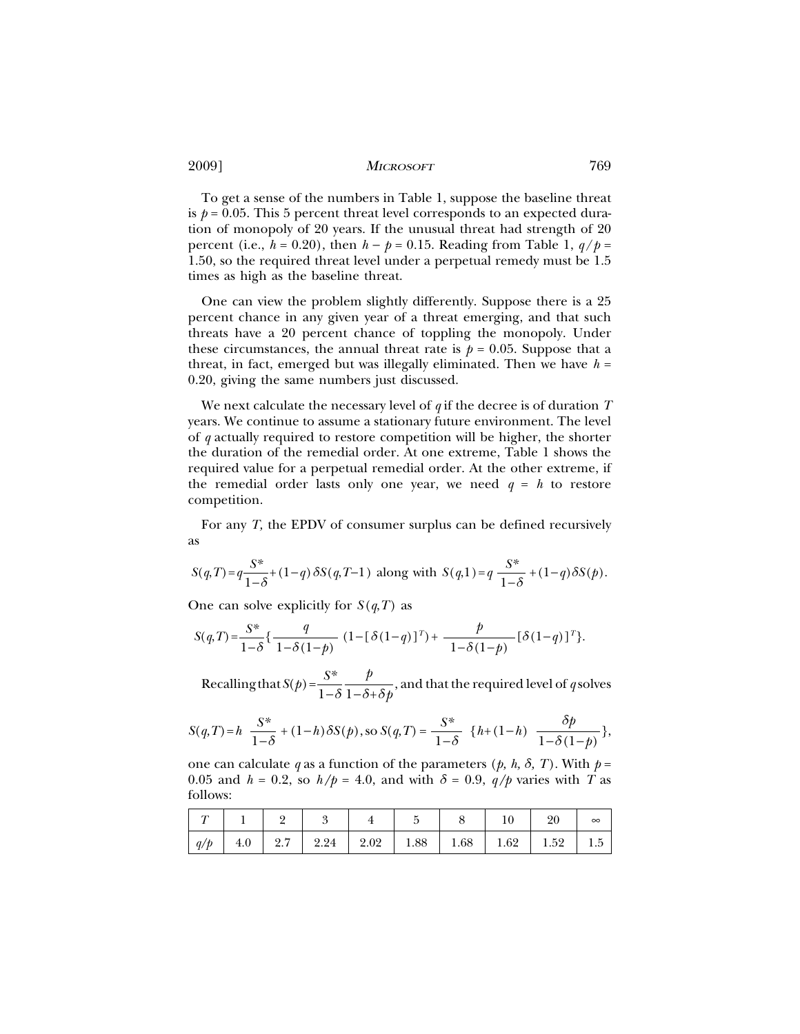To get a sense of the numbers in Table 1, suppose the baseline threat is  $p = 0.05$ . This 5 percent threat level corresponds to an expected duration of monopoly of 20 years. If the unusual threat had strength of 20 percent (i.e.,  $h = 0.20$ ), then  $h - p = 0.15$ . Reading from Table 1,  $q/p =$ 1.50, so the required threat level under a perpetual remedy must be 1.5 times as high as the baseline threat.

One can view the problem slightly differently. Suppose there is a 25 percent chance in any given year of a threat emerging, and that such threats have a 20 percent chance of toppling the monopoly. Under these circumstances, the annual threat rate is  $p = 0.05$ . Suppose that a threat, in fact, emerged but was illegally eliminated. Then we have  $h =$ 0.20, giving the same numbers just discussed.

We next calculate the necessary level of *q* if the decree is of duration *T* years. We continue to assume a stationary future environment. The level of *q* actually required to restore competition will be higher, the shorter the duration of the remedial order. At one extreme, Table 1 shows the required value for a perpetual remedial order. At the other extreme, if the remedial order lasts only one year, we need  $q = h$  to restore competition.

For any *T,* the EPDV of consumer surplus can be defined recursively as

$$
S(q,T) = q \frac{S^*}{1-\delta} + (1-q) \, \delta S(q,T-1) \text{ along with } S(q,1) = q \, \frac{S^*}{1-\delta} + (1-q) \, \delta S(p).
$$

One can solve explicitly for  $S(q,T)$  as

$$
S(q,T) = \frac{S^*}{1-\delta} \left\{ \frac{q}{1-\delta(1-p)} \left(1 - \left[\delta(1-q)\right]^T\right) + \frac{p}{1-\delta(1-p)} \left[\delta(1-q)\right]^T \right\}.
$$

Recalling that  $S(p) = \frac{S^*}{1-\delta} \frac{p}{1-\delta+\delta p}$ , and that the required level of *q* solves

$$
S(q,T) = h \frac{S^*}{1-\delta} + (1-h)\delta S(p), \text{ so } S(q,T) = \frac{S^*}{1-\delta} \{h + (1-h) \frac{\delta p}{1-\delta(1-p)}\},
$$

one can calculate *q* as a function of the parameters (*p*, *h*,  $\delta$ , *T*). With  $p =$ 0.05 and  $h = 0.2$ , so  $h/p = 4.0$ , and with  $\delta = 0.9$ ,  $q/p$  varies with *T* as follows:

|     |  |                                                                             |  |  | 20 | $\infty$ |
|-----|--|-----------------------------------------------------------------------------|--|--|----|----------|
| q/p |  | $4.0$   $2.7$   $2.24$   $2.02$   $1.88$   $1.68$   $1.62$   $1.52$   $1.5$ |  |  |    |          |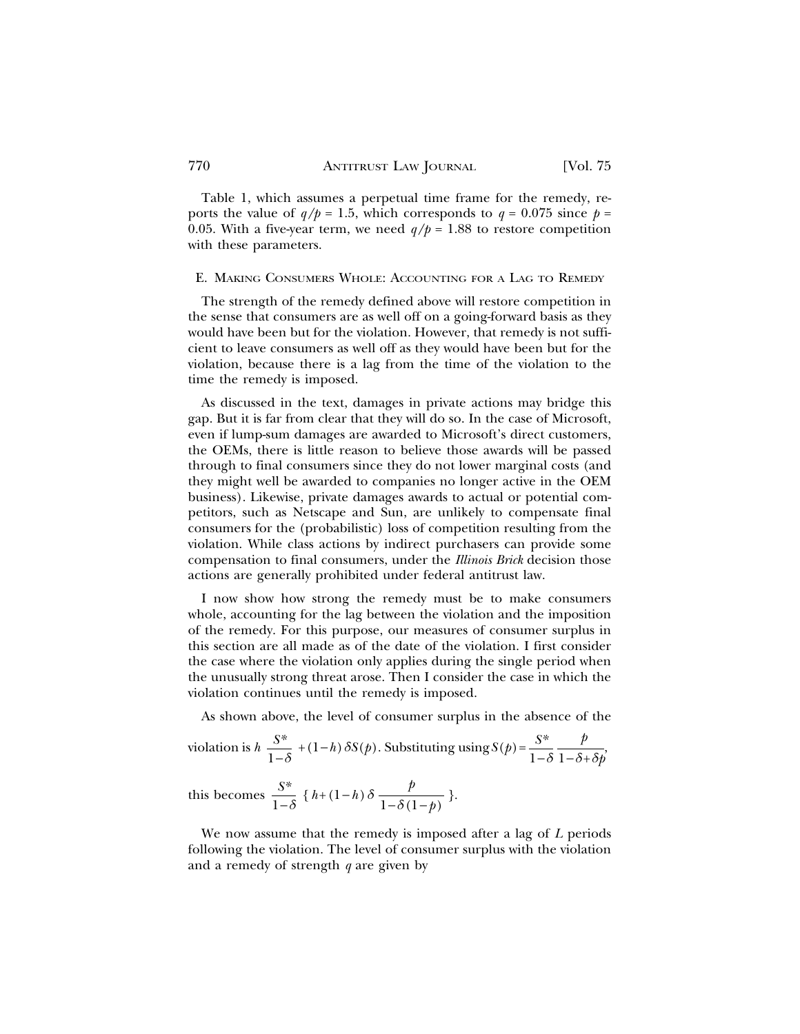Table 1, which assumes a perpetual time frame for the remedy, reports the value of  $q/p = 1.5$ , which corresponds to  $q = 0.075$  since  $p =$ 0.05. With a five-year term, we need  $q/p = 1.88$  to restore competition with these parameters.

### E. MAKING CONSUMERS WHOLE: ACCOUNTING FOR A LAG TO REMEDY

The strength of the remedy defined above will restore competition in the sense that consumers are as well off on a going-forward basis as they would have been but for the violation. However, that remedy is not sufficient to leave consumers as well off as they would have been but for the violation, because there is a lag from the time of the violation to the time the remedy is imposed.

As discussed in the text, damages in private actions may bridge this gap. But it is far from clear that they will do so. In the case of Microsoft, even if lump-sum damages are awarded to Microsoft's direct customers, the OEMs, there is little reason to believe those awards will be passed through to final consumers since they do not lower marginal costs (and they might well be awarded to companies no longer active in the OEM business). Likewise, private damages awards to actual or potential competitors, such as Netscape and Sun, are unlikely to compensate final consumers for the (probabilistic) loss of competition resulting from the violation. While class actions by indirect purchasers can provide some compensation to final consumers, under the *Illinois Brick* decision those actions are generally prohibited under federal antitrust law.

I now show how strong the remedy must be to make consumers whole, accounting for the lag between the violation and the imposition of the remedy. For this purpose, our measures of consumer surplus in this section are all made as of the date of the violation. I first consider the case where the violation only applies during the single period when the unusually strong threat arose. Then I consider the case in which the violation continues until the remedy is imposed.

As shown above, the level of consumer surplus in the absence of the

violation is 
$$
h \frac{S^*}{1-\delta} + (1-h) \delta S(p)
$$
. Substituting using  $S(p) = \frac{S^*}{1-\delta} \frac{p}{1-\delta + \delta p}$ 

*f* this becomes  $\frac{S^*}{1-\delta}$  {  $h+(1-h)\delta \frac{p}{1-\delta(1-p)}$  }.

We now assume that the remedy is imposed after a lag of *L* periods following the violation. The level of consumer surplus with the violation and a remedy of strength *q* are given by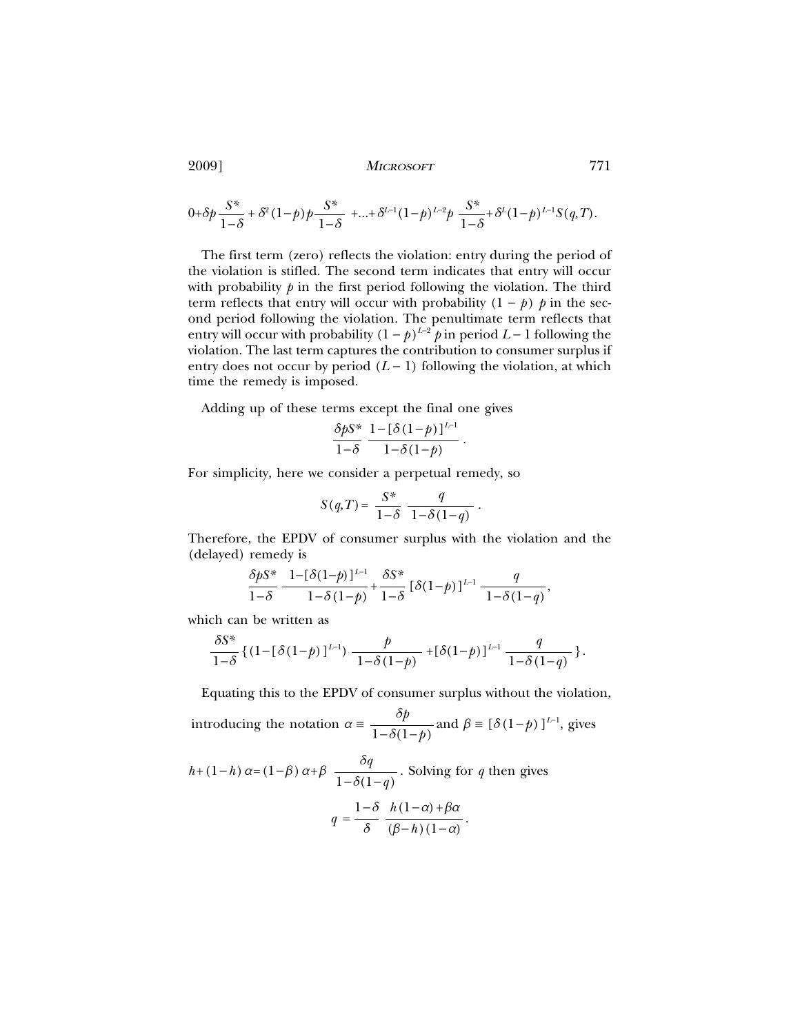$$
0+\delta p\frac{S^*}{1-\delta}+\delta^2(1-p)p\frac{S^*}{1-\delta}+...+\delta^{L-1}(1-p)^{L-2}p\frac{S^*}{1-\delta}+\delta^L(1-p)^{L-1}S(q,T).
$$

The first term (zero) reflects the violation: entry during the period of the violation is stifled. The second term indicates that entry will occur with probability  $p$  in the first period following the violation. The third term reflects that entry will occur with probability  $(1 - p)$  *p* in the second period following the violation. The penultimate term reflects that entry will occur with probability  $(1 - p)^{L-2}$  *p* in period *L* − 1 following the violation. The last term captures the contribution to consumer surplus if entry does not occur by period  $(L - 1)$  following the violation, at which time the remedy is imposed.

Adding up of these terms except the final one gives

$$
\frac{\delta pS^*}{1-\delta}\,\frac{1-[\delta(1-p)]^{L-1}}{1-\delta(1-p)}\,.
$$

For simplicity, here we consider a perpetual remedy, so

$$
S(q,T) = \frac{S^*}{1-\delta} \frac{q}{1-\delta(1-q)}.
$$

Therefore, the EPDV of consumer surplus with the violation and the (delayed) remedy is

$$
\frac{\delta p S^*}{1-\delta} \frac{1 - [\delta(1-p)]^{L-1}}{1-\delta(1-p)} + \frac{\delta S^*}{1-\delta} [\delta(1-p)]^{L-1} \frac{q}{1-\delta(1-q)},
$$

which can be written as

$$
\frac{\delta S^*}{1-\delta} \left\{ (1 - [\delta(1-p)]^{L-1}) \frac{p}{1-\delta(1-p)} + [\delta(1-p)]^{L-1} \frac{q}{1-\delta(1-q)} \right\}.
$$

Equating this to the EPDV of consumer surplus without the violation,

introducing the notation  $\alpha = \frac{\delta p}{\delta q}$  and  $\beta = [\delta(1-p)]^{L-1}$  $\frac{1}{1-\delta(1-p)}$  and  $\beta \equiv [\delta(1-p)]^{L-1}$ , gives

$$
h + (1 - h)\alpha = (1 - \beta)\alpha + \beta \frac{\delta q}{1 - \delta(1 - q)}
$$
. Solving for *q* then gives  

$$
q = \frac{1 - \delta}{\delta} \frac{h(1 - \alpha) + \beta \alpha}{(\beta - h)(1 - \alpha)}.
$$